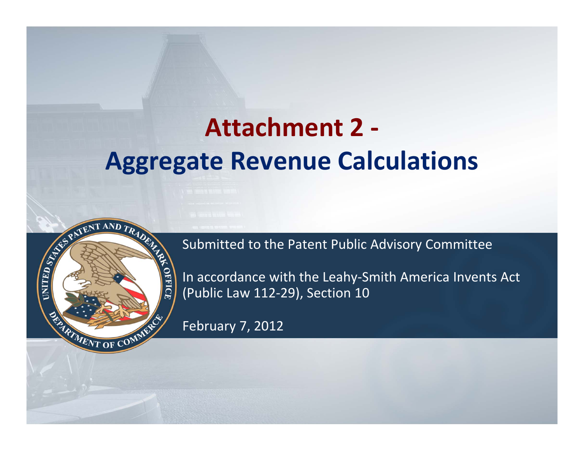## **Attachment 2 ‐ Aggregate Revenue Calculations**



Submitted to the Patent Public Advisory Committee

In accordance with the Leahy‐Smith America Invents Act (Public Law 112‐29), Section 10

February 7, 2012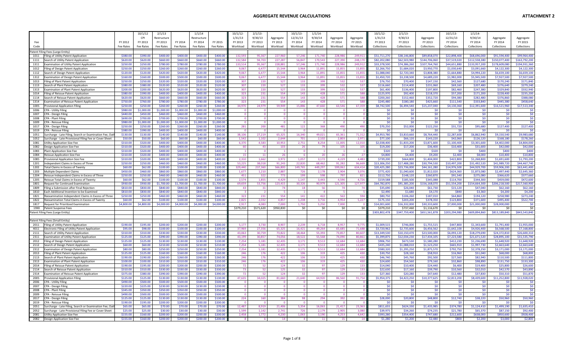|              |                                                                                                                   |                      | 10/1/12                | 2/1/13                 |                        | 1/1/14                 |                      | 10/1/12              | 2/1/13               |                     | 10/1/13              | 1/1/14              |                       |                     | 10/1/12                    | 2/1/13                     |                              | 10/1/13                   | 1/1/14                      |                             |                            |
|--------------|-------------------------------------------------------------------------------------------------------------------|----------------------|------------------------|------------------------|------------------------|------------------------|----------------------|----------------------|----------------------|---------------------|----------------------|---------------------|-----------------------|---------------------|----------------------------|----------------------------|------------------------------|---------------------------|-----------------------------|-----------------------------|----------------------------|
|              |                                                                                                                   |                      | CPI                    | Restructure            |                        | Restructure            |                      | 1/31/13              | 9/30/13              | Aggregate           | 12/31/13             | 9/30/14             | Aggregate             | Aggregate           | 1/31/13                    | 9/30/13                    | Aggregate                    | 12/31/13                  | 9/30/14                     | Aggregate                   | Aggregate                  |
| Code         |                                                                                                                   | FY 2012<br>Fee Rates | FY 2013<br>Fee Rates   | FY 2013<br>Fee Rates   | FY 2014<br>Fee Rates   | FY 2014<br>Fee Rates   | FY 2015<br>Fee Rates | FY 2013<br>Workload  | FY 2013<br>Workload  | FY 2013<br>Workload | FY 2014<br>Workload  | FY 2014<br>Workload | FY 2014<br>Workload   | FY 2015<br>Workload | FY 2013<br>Collections     | FY 2013<br>Collections     | FY 2013<br>Collections       | FY 2014<br>Collections    | FY 2014<br>Collections      | FY 2014<br>Collections      | FY 2015<br>Collections     |
|              |                                                                                                                   |                      |                        |                        |                        |                        |                      |                      |                      |                     |                      |                     |                       |                     |                            |                            |                              |                           |                             |                             |                            |
| 1011         | Patent Filing Fees (Large Entity)<br>Filing of Utility Patent Application                                         | \$380.00             | \$390.00               | \$400.00               | \$400.00               | \$400.00               | \$400.0              | 132.59               | 95.367               | 227,960             | 57.24                | 171,740             | 228,986               | 249.91              | \$51,711,270               | \$38,146,800               | \$89,858,070                 | \$22,898,400              | \$68,696,000                | \$91.594.400                | \$99,964.40                |
| 1111         | Search of Utility Patent Application                                                                              | \$620.00             | \$620.00               | \$660.00               | \$660.00               | \$660.00               | \$660.00             | 132,584              | 94,703               | 227,287             | 56,847               | 170,543             | 227,390               | 248,17              | \$82,202,080               | \$62,503,980               | \$144,706,060                | \$37,519,020              | \$112,558,380               | \$150,077,400               | \$163,792,20               |
| 1311         | Examination of Utility Patent Application                                                                         | \$250.00             | \$250.00               | \$780.00               | \$780.00               | \$780.00               | \$780.00             | 133,514              | 95,367               | 228,881             | 57,246               | 171,740             | 228.986               | 249,91              | \$33,378,500               | \$74,386,260               | \$107,764,760                | \$44,651,880              | \$133,957,200               | \$178,609,080               | \$194,931,36               |
| 1012         | Filing of Design Patent Application                                                                               | \$250.00             | \$250.00               | \$260.00               | \$260.00               | \$260.00               | \$260.0              | 9.067                | 6.477                | 15.544              | 3.964                | 11.891              | 15.855                | 15.85               | \$2,266,750                | \$1,684,020                | \$3.950.770                  | \$1,030,640               | \$3,091,660                 | \$4,122,300                 | \$4,122,300                |
| 1112         | Search of Design Patent Application                                                                               | \$120.00             | \$120.00               | \$420.00               | \$420.00               | \$420.00               | \$420.00             | 9,067                | 6.477                | 15.544              | 3.964                | 11.891              | 15,855                | 15,85               | \$1,088,040                | \$2,720,340                | \$3,808,380                  | \$1,664,880               | \$4,994,220                 | \$6,659,100                 | \$6,659,10                 |
| 1312         | Examination of Design Patent Application                                                                          | \$160.00             | \$160.00               | \$500.00               | \$500.00               | \$500.00               | \$500.00             | 9.067                | 6.477                | 15.544              | 3.964                | 11,891              | 15,855                | 15.85               | \$1,450,720                | \$3,238,500                | \$4,689,220                  | \$1,982,000               | \$5,945,500                 | \$7,927,500                 | \$7,927,50                 |
| 1013         | Filing of Plant Patent Application                                                                                | \$250.00             | \$250.00               | \$320.00               | \$320.00               | \$320.00               | \$320.00             | 307                  | 220                  | 527                 | 133                  | 399                 | 532                   | 531                 | \$76,750                   | \$70,400                   | \$147.150                    | \$42,560                  | \$127,680                   | \$170,240                   | \$171,84                   |
| 1113         | Search of Plant Patent Application                                                                                | \$380.00<br>\$200.00 | \$380.00               | \$520.00               | \$520.00               | \$520.00               | \$520.00             | 307<br>307           | 220                  | 527<br>527          | 133<br>133           | 399<br>399          | 532                   | 537<br>537          | \$116,660                  | \$114,400                  | \$231,060                    | \$69,160                  | \$207,480                   | \$276,640                   | \$279,24<br>\$332,94       |
| 1313<br>1014 | Examination of Plant Patent Application<br>Filing of Reissue Patent Application                                   | \$380.00             | \$200.00<br>\$390.00   | \$620.00<br>\$400.00   | \$620.00<br>\$400.00   | \$620.00<br>\$400.00   | \$620.0<br>\$400.0   | 323                  | 220<br>231           | 554                 | 143                  | 428                 | 532<br>571            | 588                 | \$61,400<br>\$125.970      | \$136,400<br>\$92,400      | \$197,800<br>\$218,370       | \$82,460<br>\$57,200      | \$247,380<br>\$171,200      | \$329,840<br>\$228,400      | \$235.20                   |
| 1114         | Search of Reissue Patent Application                                                                              | \$620.00             | \$620.00               | \$660.00               | \$660.00               | \$660.00               | \$660.00             | 323                  | 231                  | 554                 | 143                  | 428                 | 571                   | 588                 | \$200,260                  | \$152,460                  | \$352,720                    | \$94,380                  | \$282,480                   | \$376,860                   | \$388,08                   |
| 1314         | Examination of Reissue Patent Application                                                                         | \$750.00             | \$760.00               | \$780.00               | \$780.00               | \$780.00               | \$780.00             | 323                  | 231                  | 554                 | 143                  | 428                 | 571                   | 581                 | \$245,480                  | \$180,180                  | \$425,660                    | \$111,540                 | \$333,840                   | \$445,380                   | \$458,640                  |
| 1005         | Provisional Application Filing                                                                                    | \$250.00             | \$250.00               | \$260.00               | \$260.00               | \$260.00               | \$260.00             | 34,970               | 24,979               | 59,949              | 15,886               | 47,660              | 63,546                | 67,359              | \$8,742,500                | \$6,494,540                | \$15,237,040                 | \$4,130,360               | \$12,391,600                | \$16,521,960                | \$17,513,340               |
| 1006         | CPA - Utility Filing                                                                                              | \$980.00             | \$1,000.00             | \$1,000.00             | \$1,000.00             | \$1,000.00             | \$1,000.00           |                      |                      |                     |                      |                     | $\mathbf{0}$          |                     | \$0                        | -SO                        | \$0                          | <b>SO</b>                 | - SO                        | - \$0                       | <b>SC</b>                  |
| 1007         | CPA - Design Filing                                                                                               | \$440.00             | \$450.00               | \$460.00               | \$460.00               | \$460.00               | \$460.00             |                      |                      |                     |                      |                     | $\Omega$              |                     | \$0                        | \$0                        | \$0\$                        | \$0                       | \$0                         | \$0                         | \$0                        |
| 1008<br>1009 | <b>CPA - Plant Filing</b><br>CPA - Reissue Filing                                                                 | \$690.00<br>\$980.00 | \$700.00<br>\$1,000.00 | \$700.00<br>\$1,000.00 | \$700.00<br>\$1,000.00 | \$700.00<br>\$1,000.00 | \$700.0<br>\$1,000.0 | $\Omega$<br>$\Omega$ | $\Omega$<br>$\Omega$ |                     | $\Omega$<br>$\Omega$ |                     | $\Omega$<br>$\Omega$  |                     | \$0<br>\$0                 | \$0<br>$\overline{50}$     | \$0\$<br>\$0                 | \$0<br>-SO                | \$0<br>\$0                  | \$0<br>- \$0                | \$0<br>$\overline{50}$     |
| 1017         | CPA - Design Filing                                                                                               | \$250.00             | \$250.00               | \$260.00               | \$260.00               | \$260.00               | \$260.00             | 281                  | 200                  | 481                 | 122                  | 368                 | 490                   | 490                 | \$70,250                   | \$52,000                   | \$122,250                    | \$31,720                  | \$95,680                    | \$127,400                   | \$127,400                  |
| 1019         | CPA - Reissue Filing                                                                                              | \$380.00             | \$390.00               | \$400.00               | \$400.00               | \$400.00               | \$400.0              |                      |                      |                     |                      |                     |                       |                     | \$0                        | <b>SC</b>                  | \$0                          | -SC                       | - SC                        |                             |                            |
| 1051         | Surcharge - Late Filing, Search or Examination Fee, Oatl                                                          | \$130.00             | \$130.00               | \$140.00               | \$140.00               | \$140.00               | \$140.00             | 38,106               | 27,219               | 65,325              | 16,340               | 49,021              | 65.361                | 71,312              | \$4,953,780                | \$3,810,660                | \$8,764,440                  | \$2,287,600               | \$6,862,940                 | \$9,150,540                 | \$9,983,680                |
| 1052         | Surcharge - Late Provisional Filing Fee or Cover Sheet                                                            | \$50.00              | \$50.00                | \$60,00                | \$60.00                | \$60.00                | \$60.00              | 1.542                | 1.102                | 2.644               | 701                  | 2.102               | 2.803                 | 2.97                | \$77.100                   | \$66,120                   | \$143,220                    | \$42,060                  | \$126,120                   | \$168,180                   | \$178,260                  |
| 1081         | Utility Application Size Fee                                                                                      | \$310.00             | \$320.00               | \$400.00               | \$400.00               | \$400.00               | \$400.0              | 6,370                | 4,583                | 10,953              | 2,751                | 8,254               | 11,005                | 12,010              | \$2,038,400                | \$1,833,200                | \$3,871,600                  | \$1,100,400               | \$3,301,600                 | \$4,402,000                 | \$4,804,000                |
| 1082         | Design Application Size Fee                                                                                       | \$310.00             | \$320.00               | \$400.00               | \$400.00               | \$400.00               | \$400.00             | -60                  | 43                   | 103                 | 26<br>$\Omega$       | - 79                | 105<br>$\overline{1}$ | 10                  | \$19,200                   | \$17,200                   | \$36,400                     | \$10,400                  | \$31,600                    | \$42,000                    | \$42,000                   |
| 1083<br>1084 | <b>Plant Application Size Fee</b><br>Reissue Application Size Fee                                                 | \$310.00<br>\$310.00 | \$320.00<br>\$320.00   | \$400.00<br>\$400.00   | \$400.00<br>\$400.00   | \$400.00<br>\$400.00   | \$400.00<br>\$400.0  | 15                   | 11                   | 26                  |                      | 20                  | 26                    |                     | \$320<br>\$4,800           | -SO<br>\$4,400             | \$320<br>\$9,200             | <b>SO</b><br>\$2,400      | \$400<br>\$8,000            | \$400<br>\$10,400           | \$400<br>\$10,800          |
| 1085         | Provisional Application Size Fee                                                                                  | \$310.00             | \$320.00               | \$400.00               | \$400.00               | \$400.00               | \$400.00             | 2.310                | 1.662                | 3.972               | 1.057                | 3.172               | 4.229                 | 4.483               | \$739,200                  | \$664,800                  | \$1,404,000                  | \$422,800                 | \$1,268,800                 | \$1,691,600                 | \$1,793,20                 |
| 1201         | Independent Claims in Excess of Three                                                                             | \$250.00             | \$250.00               | \$460.00               | \$460.00               | \$460.00               | \$460.00             | 53.225               | 38.018               | 91,243              | 22.820               | 68.462              | 91.282                | 96.66               | \$13,306,250               | \$17,488,280               | \$30,794,530                 | \$10,497,200              | \$31,492,520                | \$41,989,720                | \$44,467,74                |
| 1202         | Total Claims in Excess of Twenty                                                                                  | \$60.00              | \$62.00                | \$100.00               | \$100.00               | \$100.00               | \$100.00             | 329,440              | 237,360              | 566,800             | 149,765              | 449.297             | 599.062               | 634.414             | \$20,425,280               | \$23,736,000               | \$44,161,280                 | \$14,976,500              | \$44,929,700                | \$59,906,200                | \$63,441,40                |
| 1203         | Multiple Dependent Claims                                                                                         | \$450.00             | \$460.00               | \$860,00               | \$860.00               | \$860.00               | \$860.0              | 1.677                | 1,210                | 2.887               | 726                  | 2,178               | 2,904                 | 3.07                | \$771,420                  | \$1,040,600                | \$1,812,020                  | \$624.360                 | \$1,873,080                 | \$2,497,440                 | \$2,645,36                 |
| 1204         | Reissue Independent Claims in Excess of Three                                                                     | \$250.00             | \$250.00               | \$460.00               | \$460.00               | \$460.00               | \$460.00             | 451                  | 322                  | 773                 | 199                  | 598                 | 797                   | 82                  | \$112,750                  | \$148,120                  | \$260,870                    | \$91,540                  | \$275,080                   | \$366,620                   | \$377,66                   |
| 1205<br>1801 | Reissue Total Claims in Excess of Twenty<br><b>Request for Continued Examination</b>                              | \$60.00<br>\$930.00  | \$62.00<br>\$930.00    | \$100.00<br>\$1,700.00 | \$100.00<br>\$1,700.00 | \$100.00<br>\$1,700.00 | \$100.0<br>\$1,700.0 | 2.574<br>69.659      | 1.855<br>53,756      | 4.429<br>123,415    | 1.147<br>30.326      | 3.443<br>90,979     | 4.590<br>121,305      | 4.726<br>127,97     | \$159,588<br>\$64,782,870  | \$185,500<br>\$91,385,200  | \$345,088<br>\$156,168,070   | \$114,700<br>\$51,554,200 | \$344,300<br>\$154,664,300  | \$459,000<br>\$206,218,500  | \$472,600<br>\$217,560,900 |
| 1809         | Filing a Submission after Final Rejection                                                                         | \$810.00             | \$830.00               | \$840.00               | \$840.00               | \$840.00               | \$840.0              | -43                  | -31                  | -74                 | 18                   | -56                 | 74                    |                     | \$35,690                   | \$26,040                   | \$61,730                     | \$15,120                  | \$47,040                    | \$62,160                    | \$62,160                   |
| 1810         | Each Additional Invention to be Examined                                                                          | \$810.00             | \$830.00               | \$840.00               | \$840.00               | \$840.00               | \$840.00             |                      |                      |                     |                      |                     | -5                    |                     | \$2,490                    | \$1,680                    | \$4,170                      | \$840                     | \$3,360                     | \$4,200                     | \$4,200                    |
| 1821         | Reexamination Independent Claims in Excess of Three                                                               | \$250.00             | \$250.00               | \$460.00               | \$460.00               | \$460.00               | \$460.0              | 323                  | 231                  | 554                 | 141                  | 422                 | 563                   | 594                 | \$80,750                   | \$106,260                  | \$187,010                    | \$64,860                  | \$194,120                   | \$258,980                   | \$273,24                   |
| 1822         | Reexamination Total Claims in Excess of Twenty                                                                    | \$60.00              | \$62.00                | \$100.00               | \$100.00               | \$100.00               | \$100.0              | 2.825                | 2.032                | 4,857               | 1.238                | 3.716               | 4.954                 | 5,22                | \$175,150                  | \$203,200                  | \$378,350                    | \$123,800                 | \$371,600                   | \$495,400                   | \$522,700                  |
| 1817         | Request for Prioritized Examination                                                                               | \$4,800.00           | \$4,800.00             | \$4,000.00             | \$4,000.00             | \$4,000.00             | \$4,000.00           | 2.917                | 4.083                | 7.000               | 1,750                | 5,250               | 7,000                 |                     | \$14,001,600               | \$16,332,000               | \$30,333,600                 | \$7,000,000               | \$21,000,000                | \$28,000,000                | <b>SC</b>                  |
| 19XX         | Patent Suspense Fees                                                                                              |                      |                        |                        |                        |                        |                      | \$379,210            | \$571,620            | \$950,830           | \$0                  | \$0                 | \$0                   | \$0                 | \$379,210<br>\$303,802,478 | \$737,460<br>\$347,759,400 | \$1,116,670<br>\$651,561,878 | S0<br>\$203,294,980       | - SO<br>\$609,894,860       | -SO<br>\$813,189,840        | \$0<br>\$843,543,840       |
|              | Patent Filing Fees (Large Entity)                                                                                 |                      |                        |                        |                        |                        |                      |                      |                      |                     |                      |                     |                       |                     |                            |                            |                              |                           |                             |                             |                            |
|              | Patent Filing Fees (Small Entity)                                                                                 |                      |                        |                        |                        |                        |                      |                      |                      |                     |                      |                     |                       |                     |                            |                            |                              |                           |                             |                             |                            |
| 2011         | Filing of Utility Patent Application                                                                              | \$190.00             | \$195.00               | \$200.00               | \$200.00               | \$200.00               | \$200.0              | 5,177                | 3.730                | 8.907               | 2.239                | 6.718               | 8.957                 | 9.77                | \$1.009.515                | \$746,000                  | \$1,755,515                  | \$447,800                 | \$1,343,600                 | \$1,791,400                 | \$1,955,000                |
| 4011         | Electronic Filing of Utility Patent Application                                                                   | \$95.00              | \$98.00                | \$100.00               | \$100.00               | \$100.00               | \$100.00             | 37,969               | 27,356               | 65,325              | 16,421               | 49.264              | 65.685                | 71,688              | \$3,720,962                | \$2,735,600                | \$6,456,562                  | \$1,642,100               | \$4,926,400                 | \$6,568,500                 | \$7,168,800                |
| 2111         | Search of Utility Patent Application                                                                              | \$310.00             | \$310.00               | \$330.00               | \$330.00               | \$330.00               | \$330.0              | 43.063               | 30.759               | 73.822              | 18.464               | 55.39               | 73.857                | 80.60               | \$13,349,530               | \$10,150,470               | \$23,500,000                 | \$6,093,120               | \$18,279,690                | \$24,372,810                | \$26,600,31                |
| 2311         | Examination of Utility Patent Application                                                                         | \$125.00<br>\$125.00 | \$125.00<br>\$125.00   | \$390.00<br>\$130.00   | \$390.00<br>\$130.00   | \$390.00<br>\$130.00   | \$390.00<br>\$130.00 | 43,199<br>7,254      | 30,857<br>5,181      | 74,056<br>12,435    | 18,522<br>3,171      | 55,568<br>9,513     | 74,090<br>12.684      | 80,86<br>12.68      | \$5,399,875<br>\$906.75    | \$12,034,230<br>\$673,530  | \$17,434,105<br>\$1,580,280  | \$7,223,580<br>\$412,230  | \$21,671,520<br>\$1,236,690 | \$28,895,100<br>\$1,648,920 | \$31,535,79<br>\$1,648,92  |
| 2012<br>2112 | Filing of Design Patent Application<br>Search of Design Patent Application                                        | \$60.00              | \$60.00                | \$210.00               | \$210.00               | \$210.00               | \$210.00             | 7,254                | 5,181                | 12,435              | 3,171                | 9,513               | 12,684                | 12,68               | \$435,240                  | \$1,088,010                | \$1,523,250                  | \$665,910                 | \$1,997,730                 | \$2,663,640                 | \$2,663,64                 |
| 2312         | Examination of Design Patent Application                                                                          | \$80.00              | \$80.00                | \$250.00               | \$250.00               | \$250.00               | \$250.0              | 7,254                | 5,181                | 12,435              | 3,171                | 9,513               | 12,684                | 12,684              | \$580,320                  | \$1,295,250                | \$1,875,570                  | \$792,750                 | \$2,378,250                 | \$3,171,000                 | \$3,171,00                 |
| 2013         | Filing of Plant Patent Application                                                                                | \$125.00             | \$125.00               | \$160.00               | \$160.00               | \$160.00               | \$160.0              | 246                  | 176                  | 422                 | 106                  | 319                 | 425                   |                     | \$30.750                   | \$28,160                   | \$58,910                     | \$16,960                  | \$51,040                    | \$68,000                    | \$68,80                    |
| 2113         |                                                                                                                   |                      |                        |                        |                        | \$260.00               | \$260.00             | 246                  | 176                  | 422                 | 106                  | 319                 | 425                   | 430                 | \$46,740                   | \$45,760                   | \$92,500                     | \$27,560                  | \$82,940                    | \$110,500                   | \$111,800                  |
|              | Search of Plant Patent Application                                                                                | \$190.00             | \$190.00               | \$260.00               | \$260.00               |                        |                      |                      |                      |                     |                      |                     |                       |                     |                            |                            |                              |                           |                             |                             |                            |
| 2313         | Examination of Plant Patent Application                                                                           | \$100.00             | \$100.00               | \$310.00               | \$310.00               | \$310.00               | \$310.00             | 246                  | 176                  | 422                 | 106                  | 319                 | 425                   | 430                 | \$24,600                   | \$54,560                   | \$79,160                     | \$32,860                  | \$98,890                    | \$131,750                   | \$133,300                  |
| 2014         | Filing of Reissue Patent Application                                                                              | \$190.00             | \$195.00               | \$200.00               | \$200.00               | \$200.00               | \$200.00             | 72                   | 52                   | 124                 | 32                   | -97                 | 129                   | 133                 | \$14,040                   | \$10,400                   | \$24,440                     | \$6,400                   | \$19,400                    | \$25,800                    | \$26,600                   |
| 2114         | Search of Reissue Patent Application                                                                              | \$310.00             | \$310.00               | \$330.00               | \$330.00               | \$330.00               | \$330.00             | 73                   | 52                   | 125                 | 32                   | 97                  | 129                   | 133                 | \$22,630                   | \$17,160                   | \$39,790                     | \$10,560                  | \$32,010                    | \$42,570                    | \$43,890                   |
| 2314<br>2005 | Examination of Reissue Patent Application<br>Provisional Application Filing                                       | \$375.00<br>\$125.00 | \$380.00<br>\$125.00   | \$390.00<br>\$130.00   | \$390.00<br>\$130.00   | \$390.00<br>\$130.00   | \$390.00<br>\$130.00 | 72<br>47.635         | -52<br>34.025        | 124<br>81.660       | 32<br>21.640         | 97<br>64.920        | 129<br>86.560         | 133<br>91.754       | \$27,360<br>\$5,954,375    | \$20,280<br>\$4,423,250    | \$47,640<br>\$10,377,625     | \$12,480<br>\$2,813,200   | \$37,830<br>\$8,439,600     | \$50,310<br>\$11,252,800    | \$51,870<br>\$11,928,020   |
| 2006         | CPA - Utility Filing                                                                                              | \$490.00             | \$500.00               | \$500.00               | \$500.00               | \$500.00               | \$500.00             |                      |                      |                     |                      |                     |                       |                     | \$0                        | \$c                        | \$0                          | -SC                       | -SO                         | - \$0                       | -SC                        |
| 2007         | CPA - Design Filing                                                                                               | \$220.00             | \$225.00               | \$230.00               | \$230.00               | \$230.00               | \$230.00             |                      |                      |                     |                      |                     | $\Omega$              |                     | \$0                        | \$0                        | \$0                          | \$0                       | \$0                         | \$0                         | \$0                        |
| 2008         | CPA - Plant Filing                                                                                                | \$345.00             | \$350.00               | \$350.00               | \$350.00               | \$350.00               | \$350.0              |                      |                      |                     |                      |                     | $\Omega$              |                     | \$0                        | \$0                        | \$0                          | \$0                       | \$0                         | \$0                         | \$0                        |
| 2009         | CPA - Reissue Filing                                                                                              | \$490.00             | \$500.00               | \$500.00               | \$500.00               | \$500.00               | \$500.0              |                      |                      |                     |                      |                     | $\Omega$              |                     | \$0                        | \$0                        | \$0                          | -SO                       | - \$0                       | - \$0                       | \$0                        |
| 2017         | CPA - Design Filing                                                                                               | \$125.00             | \$125.00               | \$130.00               | \$130.00               | \$130.00               | \$130.00             | 224                  | 160                  | 384                 | 98<br>$\Omega$       | 294                 | 392<br>$\Omega$       | 392                 | \$28,000                   | \$20,800                   | \$48,800                     | \$12,740                  | \$38,220                    | \$50,960                    | \$50,960<br>-SC            |
| 2019         | CPA - Reissue Filing                                                                                              | \$190.00             | \$195.00               | \$200.00               | \$200.00               | \$200.00               | \$200.00             | 12.487               | 8.919                | 21.406              | 5.354                | 16.063              |                       |                     | <b>SO</b>                  | \$0                        | \$0                          | -SO                       | - \$0                       | - \$0                       |                            |
| 2051<br>2052 | Surcharge - Late Filing, Search or Examination Fee, Oat<br>Surcharge - Late Provisional Filing Fee or Cover Sheet | \$65.00<br>\$25.00   | \$65.00<br>\$25.00     | \$70.00<br>\$30.00     | \$70.00<br>\$30,00     | \$70.00<br>\$30.00     | \$70.00<br>\$30.0    | 1.599                | 1.142                | 2.741               | 726                  | 2.179               | 21,417<br>2.905       | 23,363<br>3.080     | \$811,655<br>\$39,975      | \$624,330<br>\$34,260      | \$1,435,985<br>\$74,235      | \$374,780<br>\$21,780     | \$1,124,410<br>\$65,370     | \$1,499,190<br>\$87,150     | \$1,635,410<br>\$92,400    |
| 2081         | <b>Utility Application Size Fee</b><br>2082 Design Application Size Fee                                           | \$155.00<br>\$155.00 | \$160.00<br>\$160.00   | \$200,00<br>\$200.00   | \$200.00<br>\$200.00   | \$200,00<br>\$200.00   | \$200.0<br>\$200.00  | 2.458                | 1.772                | 4.230<br>14         | 1.063                | 3.190<br>11         | 4.253<br>15           | 4.642               | \$393.280<br>\$1,280       | \$354,400<br>\$1,200       | \$747.680<br>\$2,480         | \$212,600<br>\$800        | \$638,000<br>\$2,200        | \$850,600<br>\$3,000        | \$928,400<br>\$2,800       |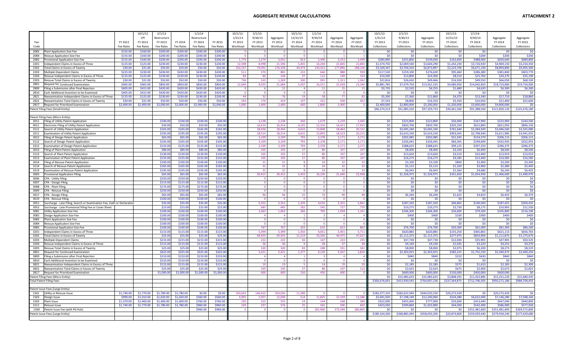|              |                                                                                              |                          | 10/1/12                  | 2/1/13                   |                          | 1/1/14                 |                      | 10/1/12            | $2/1/13$ -         |                      | $10/1/13$ -         | 1/1/14             |                                |                      | 10/1/12                 | $2/1/13$ -              |                          | 10/1/13-                | 1/1/14                   |                          |                        |
|--------------|----------------------------------------------------------------------------------------------|--------------------------|--------------------------|--------------------------|--------------------------|------------------------|----------------------|--------------------|--------------------|----------------------|---------------------|--------------------|--------------------------------|----------------------|-------------------------|-------------------------|--------------------------|-------------------------|--------------------------|--------------------------|------------------------|
|              |                                                                                              | FY 2012                  | CPI                      | Restructure<br>FY 2013   | FY 2014                  | Restructure<br>FY 2014 | FY 2015              | 1/31/13<br>FY 2013 | 9/30/13<br>FY 2013 | Aggregate<br>FY 2013 | 12/31/13<br>FY 2014 | 9/30/14<br>FY 2014 | Aggregate<br>FY 2014           | Aggregate<br>FY 2015 | 1/31/13<br>FY 2013      | 9/30/13<br>FY 2013      | Aggregate<br>FY 2013     | 12/31/13<br>FY 2014     | 9/30/14<br>FY 2014       | Aggregate<br>FY 2014     | Aggregate<br>FY 2015   |
| Code         |                                                                                              | Fee Rates                | FY 2013<br>Fee Rates     | Fee Rates                | Fee Rates                | Fee Rates              | Fee Rates            | Workload           | Workload           | Workload             | Workload            | Workload           | Workload                       | Workload             | Collections             | Collections             | Collections              | Collections             | Collections              | Collections              | Collections            |
| 2083         |                                                                                              | \$155.00                 | \$160.00                 | \$200.00                 | \$200.00                 | \$200.00               |                      |                    |                    |                      | $\overline{0}$      |                    | $\overline{0}$                 |                      | \$0                     | \$0                     | <b>SO</b>                | SO.                     | SO.                      |                          |                        |
| 2084         | Plant Application Size Fee<br>Reissue Application Size Fee                                   | \$155.00                 | \$160.00                 | \$200.00                 | \$200.00                 | \$200.00               | \$200.00<br>\$200.00 |                    |                    |                      | $\Omega$            |                    | $\overline{1}$                 |                      | \$0                     | \$0                     | \$0                      | \$0                     | \$200                    | \$0<br>\$200             | \$200                  |
| 2085         | Provisional Application Size Fee                                                             | \$155.00                 | \$160.00                 | \$200.00                 | \$200.00                 | \$200.00               | \$200.00             | 1.774              | 1,279              | 3.053                | 813                 | 2.440              | 3,253                          | 3.449                | \$283,840               | \$255,800               | \$539,640                | \$162,600               | \$488,000                | \$650,600                | \$689,80               |
| 2201         | Independent Claims in Excess of Three                                                        | \$125.00                 | \$125.00                 | \$230.00                 | \$230.00                 | \$230.00               | \$230.00             | 12,598             | 8,998              | 21,596               | 5,401               | 16,204             | 21,605                         | 22,845               | \$1,574,750             | \$2,069,540             | \$3,644,290              | \$1,242,230             | \$3,726,920              | \$4,969,150              | \$5,254,35             |
| 2202         | Total Claims in Excess of Twenty                                                             | \$30.00                  | \$31.00                  | \$50.00                  | \$50.00                  | \$50.00                | \$50.00              | 102,237            | 74,091             | 176,328              | 44,474              | 133,422            | 177,896                        | 188,106              | \$3,169,347             | \$3,704,550             | \$6,873,897              | \$2,223,700             | \$6,671,100              | \$8,894,800              | \$9,405,30             |
| 2203         | <b>Multiple Dependent Claims</b>                                                             | \$225.00                 | \$230.00                 | \$430.00                 | \$430.00                 | \$430.00               | \$430.00             | 511                | 370                | 881                  | 222                 | 666                | 888                            | 93                   | \$117,530               | \$159,100               | \$276,630                | \$95,460                | \$286,380                | \$381,840                | \$403,77               |
| 2204         | Reissue Independent Claims in Excess of Three                                                | \$125.00                 | \$125.00                 | \$230.00                 | \$230.00                 | \$230.00               | \$230.00             | 84                 | 60                 | 144                  | 37                  | 112                | 149                            | 153                  | \$10,500                | \$13,800                | \$24,300                 | \$8,510                 | \$25,760                 | \$34,270                 | \$35,19                |
| 2205<br>2801 | Reissue Total Claims in Excess of Twenty<br>Request for Continued Examination                | \$30.00<br>\$465.00      | \$31.00<br>\$465.00      | \$50.00<br>\$850.00      | \$50.00<br>\$850.00      | \$50.00<br>\$850.00    | \$50.00<br>\$850.00  | 736<br>12,649      | 533<br>9,035       | 1,269<br>21.684      | 330<br>5,507        | 991<br>16,521      | 1,321<br>22,028                | 1,362<br>23,240      | \$22,816<br>\$5,881,785 | \$26,650<br>\$7,679,750 | \$49,466<br>\$13,561,535 | \$16,500<br>\$4,680,950 | \$49,550<br>\$14,042,850 | \$66,050<br>\$18,723,800 | \$68,10<br>\$19,754,00 |
| 2809         | Filing a Submission after Final Rejection                                                    | \$405.00                 | \$415.00                 | \$420.00                 | \$420.00                 | \$420.00               | \$420.00             |                    |                    | 15                   | $\Delta$            | 11                 | 15                             |                      | \$3,735                 | \$2,520                 | \$6,255                  | \$1,680                 | \$4,620                  | \$6,300                  | \$6,30                 |
| 2810         | Each Additional Invention to be Examined                                                     | \$405.00                 | \$415.00                 | \$420.00                 | \$420.00                 | \$420.00               | \$420.00             |                    | $\Omega$           | $\Omega$             | $\Omega$            | $\Omega$           | $\Omega$                       |                      | \$0                     | \$0                     | \$0                      | \$0                     | <b>SO</b>                | \$0                      |                        |
| 2821         | Reexamination Independent Claims in Excess of Three                                          | \$125.00                 | \$125.00                 | \$230.00                 | \$230.00                 | \$230.00               | \$230.00             | $\Delta\Delta$     | 32                 | 76                   | 19                  | 58                 | 77                             | $\mathbf{R}$         | \$5,500                 | \$7,360                 | \$12,860                 | \$4,370                 | \$13,340                 | \$17,710                 | \$18,86                |
| 2822         | Reexamination Total Claims in Excess of Twenty                                               | \$30.00                  | \$31.00                  | \$50.00                  | \$50.00                  | \$50.00                | \$50.00              | 243                | 176                | 419                  | 107                 | 321                | 428                            | 452                  | \$7,533                 | \$8,800                 | \$16,333                 | \$5,350                 | \$16,050                 | \$21,400                 | \$22,600               |
| 2817         | Request for Prioritized Examination                                                          | \$2,400.00               | \$2,400.00               | \$2,000.00               | \$2,000.00               | \$2,000.00             | \$2,000.00           | 1.000              | 1,400              | 2,400                | 600                 | 1,800              | 2,400                          |                      | \$2,400,000             | \$2,800,000             | \$5,200,000              | \$1,200,000             | \$3,600,000              | \$4,800,000              |                        |
|              | Patent Filing Fees (Small Entity)                                                            |                          |                          |                          |                          |                        |                      |                    |                    |                      |                     |                    |                                |                      | \$46,274,213            | \$51,085,520            | \$97,359,733             | \$30,461,560            | \$91,388,560             | \$121,850,120            | \$125,476,180          |
|              | Patent Filing Fees (Micro Entity)                                                            |                          |                          |                          |                          |                        |                      |                    |                    |                      |                     |                    |                                |                      |                         |                         |                          |                         |                          |                          |                        |
| 3011         | Filing of Utility Patent Application                                                         |                          |                          | \$100.00                 | \$100.00                 | \$100.00               | \$100.0              |                    | 2,238              | 2,238                | 560                 | 1,679              | 2,239                          | 2,445                | \$0\$                   | \$223,800               | \$223,800                | \$56,000                | \$167,900                | \$223,900                | \$244,50               |
| 4011         | Electronic Filing of Utility Patent Application                                              |                          |                          | \$50.00                  | \$50.00                  | \$50.00                | \$50.0               |                    | 16.414             | 16.414               | 4.105               | 12.316             | 16.421                         | 17.923               | \$0\$                   | \$820,700               | \$820,700                | \$205.250               | \$615,800                | \$821,050                | \$896,15               |
| 3111         | Search of Utility Patent Application                                                         |                          |                          | \$165.00                 | \$165.00                 | \$165.00               | \$165.0              |                    | 18.456             | 18.456               | 4.616               | 13,848             | 18.464                         | 20.152               | \$0                     | \$3.045.240             | \$3.045.240              | \$761.640               | \$2.284.920              | \$3.046.560              | \$3.325.08             |
| 3311         | Examination of Utility Patent Application                                                    |                          |                          | \$195.0                  | \$195.00                 | \$195.00               | \$195.0              |                    | 18,514             | 18.514               | 4.631               | 13,892             | 18,523                         | 20,219               | \$0\$                   | \$3,610,230             | \$3,610,230              | \$903,045               | \$2,708,940              | \$3,611,985              | \$3,941,92             |
| 3012         | Filing of Design Patent Application                                                          |                          |                          | \$65.00                  | \$65.00                  | \$65.00                | \$65.0               |                    | 3,109              | 3,109                | 793                 | 2,378              | 3,171                          | 3,17                 | \$0                     | \$202,085               | \$202,085                | \$51,545                | \$154,570                | \$206,115                | \$206,11               |
| 3112         | Search of Design Patent Application                                                          |                          |                          | \$105.00                 | \$105.00                 | \$105.00               | \$105.0              |                    | 3,109              | 3,109                | 793                 | 2,378              | 3,171                          | 3,171                | \$0\$                   | \$326,445               | \$326,445                | \$83.265                | \$249,690                | \$332,955                | \$332.95               |
| 3312<br>3013 | Examination of Design Patent Application<br>Filing of Plant Patent Application               |                          |                          | \$125.00<br>\$80.00      | \$125.00<br>\$80.00      | \$125.00<br>\$80.00    | \$125.0<br>\$80.0    |                    | 3,109<br>105       | 3,109<br>105         | 793<br>27           | 2,378<br>80        | 3,171<br>107                   | 3,171<br>107         | \$0\$<br>\$0            | \$388,625<br>\$8,400    | \$388,625<br>\$8,400     | \$99,125<br>\$2,160     | \$297,250<br>\$6,400     | \$396,375<br>\$8,560     | \$396,37<br>\$8,560    |
| 3113         | Search of Plant Patent Application                                                           |                          |                          | \$130.0                  | \$130.00                 | \$130.00               | \$130.0              |                    | 105                | 105                  | 27                  | 80                 | 107                            | 107                  | \$0                     | \$13,650                | \$13,650                 | \$3,510                 | \$10,400                 | \$13,910                 | \$13,91                |
| 3313         | Examination of Plant Patent Application                                                      |                          |                          | \$155.0                  | \$155.00                 | \$155.00               | \$155.0              |                    | 105                | 105                  | 27                  | 80                 | 107                            | 107                  | \$0                     | \$16,275                | \$16,275                 | \$4,185                 | \$12,400                 | \$16,585                 | \$16,58                |
| 3014         | Filing of Reissue Patent Application                                                         |                          |                          | \$100.0                  | \$100.00                 | \$100.00               | \$100.0              |                    | 31                 | 31                   | $\mathbf{8}$        | 24                 | 32                             | 33                   | \$0\$                   | \$3,100                 | \$3,100                  | \$800                   | \$2,400                  | \$3,200                  | \$3,300                |
| 3114         | Search of Reissue Patent Application                                                         |                          |                          | \$165.00                 | \$165.00                 | \$165.00               | \$165.0              |                    | 31                 | 31                   | $\mathbf{R}$        | 24                 | 32 <sup>2</sup>                | $\mathbf{R}$         | \$0\$                   | \$5,115                 | \$5,115                  | \$1,320                 | \$3,960                  | \$5,280                  | \$5,44                 |
| 3314         | Examination of Reissue Patent Application                                                    |                          |                          | \$195.00                 | \$195.00                 | \$195.00               | \$195.0              |                    | 31                 | 31                   | $\mathbf{R}$        | 24                 | 32 <sup>2</sup>                |                      | \$0\$                   | \$6,045                 | \$6,045                  | \$1,560                 | \$4,680                  | \$6,240                  | \$6,43                 |
| 3005         | Provisional Application Filing                                                               |                          |                          | \$65.0                   | \$65.00                  | \$65.00                | \$65.0               |                    | 20,415             | 20,415               | 5,410               | 16,230             | 21,640                         | 22,938               | \$0                     | \$1,326,975             | \$1,326,975              | \$351,650               | \$1,054,950              | \$1,406,600              | \$1,490,97             |
| 3006<br>3007 | <b>CPA - Utility Filing</b><br>CPA - Design Filing                                           |                          |                          | \$250.0<br>\$115.0       | \$250.00<br>\$115.00     | \$250.00<br>\$115.00   | \$250.0<br>\$115.0   |                    | $\Omega$           | $\overline{0}$       | $\overline{0}$      | $\mathbf{0}$       | $\mathbf{0}$<br>$\overline{0}$ |                      | \$0<br>\$0\$            | \$0<br>\$0              | \$0<br>\$0               | \$0<br>\$0              | \$0<br>\$0               | \$0<br>\$0               | \$0                    |
| 3008         | CPA - Plant Filing                                                                           |                          |                          | \$175.0                  | \$175.00                 | \$175.00               | \$175.0              |                    | $\Omega$           | - 0                  | $\mathbf{0}$        | $\Omega$           | $\mathbf{0}$                   |                      | \$0                     | \$0                     | \$0                      | \$0                     | \$0                      | \$0                      | \$C                    |
| 3009         | CPA - Reissue Filing                                                                         |                          |                          | \$250.00                 | \$250.00                 | \$250.00               | \$250.0              |                    | - 0                | $\overline{0}$       | $\overline{0}$      | $\overline{0}$     | $\mathbf{0}$                   |                      | \$0                     | \$0                     | \$0                      | \$0                     | \$0                      | \$0                      | \$0                    |
| 3017         | CPA - Design Filing                                                                          |                          |                          | \$65.00                  | \$65.00                  | \$65.00                | \$65.0               |                    | 96                 | 96                   | 25                  | 74                 | 99                             | 98                   | \$0                     | \$6,240                 | \$6,240                  | \$1,625                 | \$4,810                  | \$6,435                  | \$6,370                |
| 3019         | <b>CPA - Reissue Filing</b>                                                                  |                          |                          | \$100.00                 | \$100.00                 | \$100.00               | \$100.0              |                    | $\Omega$           | $\Omega$             | $\Omega$            | $\Omega$           | $\Omega$                       |                      | \$0                     | \$0                     | \$0                      | \$0                     | \$0                      | \$0                      | -SC                    |
| 3051         | Surcharge - Late Filing, Search or Examination Fee, Oath or Declaration                      |                          |                          | \$35.0                   | \$35.00                  | \$35.00                | \$35.0               |                    | 5.352              | 5,352                | 1.339               | 4.016              | 5,355                          | 5,841                | \$0                     | \$187,320               | \$187,320                | \$46,865                | \$140,560                | \$187,425                | \$204,43               |
| 3052         | Surcharge - Late Provisional Filing Fee or Cover Sheet                                       |                          |                          | \$15.00                  | \$15.00                  | \$15.00                | \$15.0               |                    | 685                | 685                  | 182                 | 545                | 727                            | 770                  | \$0<br>\$0              | \$10,275                | \$10,275                 | \$2,730                 | \$8,175                  | \$10,905                 | \$11,550               |
| 3081<br>3082 | Utility Application Size Fee<br>Design Application Size Fee                                  |                          |                          | \$100.00<br>\$100.00     | \$100.00<br>\$100.00     | \$100.00<br>\$100.00   | \$100.0<br>\$100.0   |                    | 1,063              | 1,063                | 266                 | 792                | 1,058                          | 1,161                | \$0                     | \$106,300<br>\$400      | \$106,300<br>\$400       | \$26,600<br>\$100       | \$79,200<br>\$300        | \$105,800<br>\$400       | \$116,100<br>\$400     |
| 3083         | <b>Plant Application Size Fee</b>                                                            |                          |                          | \$100.00                 | \$100.00                 | \$100.00               | \$100.0              |                    |                    | - 0                  | $\overline{0}$      | $\overline{0}$     | $\mathbf{0}$                   |                      | \$0\$                   | \$0                     | \$0                      | \$0                     | SO.                      | \$0                      | \$C                    |
| 3084         | Reissue Application Size Fee                                                                 |                          |                          | \$100.0                  | \$100.00                 | \$100.00               | \$1000               |                    | - 0                | $\sqrt{ }$           | - 0                 | $\Omega$           | $\Omega$                       |                      | \$0                     | \$0                     | \$0                      | \$0                     | \$0                      | \$0                      | \$0                    |
| 3085         | Provisional Application Size Fee                                                             |                          |                          | \$100.0                  | \$100.00                 | \$100.00               | \$100.00             |                    | 767                | 767                  | 203                 | 610                | 813                            | 862                  | \$0                     | \$76,700                | \$76,700                 | \$20,300                | \$61,000                 | \$81,300                 | \$86,200               |
| 3201         | Independent Claims in Excess of Three                                                        |                          |                          | \$115.0                  | \$115.00                 | \$115.00               | \$115.0              |                    | 5,399              | 5,399                | 1,350               | 4,051              | 5,401                          | 5,711                | \$0\$                   | \$620,885               | \$620,885                | \$155,250               | \$465,865                | \$621,115                | \$656,76               |
| 3202         | Total Claims in Excess of Twenty                                                             |                          |                          | \$25.0                   | \$25.00                  | \$25.00                | \$25.0               |                    | 44,455             | 44,455               | 11,119              | 33,356             | 44 475                         | 47,027               | \$0\$                   | \$1,111,375             | \$1,111,375              | \$277,975               | \$833,900                | \$1,111,875              | \$1,175,67             |
| 3203<br>3204 | Multiple Dependent Claims<br>Reissue Independent Claims in Excess of Three                   |                          |                          | \$215.0<br>\$115.00      | \$215.00<br>\$115.00     | \$215.00<br>\$115.00   | \$215.0<br>\$115.0   |                    | 222<br>36          | 222<br>36            | 56<br>$\mathbf{q}$  | 167<br>28          | 223<br>37                      | 235                  | \$0\$<br>\$0            | \$47,730<br>\$4,140     | \$47,730<br>\$4,140      | \$12,040<br>\$1,035     | \$35,905<br>\$3,220      | \$47,945<br>\$4,255      | \$50,52<br>\$4,37      |
| 3205         | Reissue Total Claims in Excess of Twenty                                                     |                          |                          | \$25.0                   | \$25.00                  | \$25.00                | \$25.0               |                    | 320                | 320                  | 83                  | 248                | 331                            | 341                  | \$0                     | \$8,000                 | \$8,000                  | \$2,075                 | \$6,200                  | \$8,275                  | \$8,52                 |
| 3801         | Request for Continued Examination                                                            |                          |                          | \$425.0                  | \$425.0                  | \$425.00               | \$425.0              |                    | 5,421              | 5,421                | 1,377               | 4,130              | 5,507                          | 5,810                | \$0                     | \$2.303.925             | \$2,303,925              | \$585.225               | \$1,755,250              | \$2.340.475              | \$2,469,25             |
| 3809         | Filing a Submission after Final Rejection                                                    |                          |                          | \$210.00                 | \$210.00                 | \$210.00               | \$210.0              |                    |                    |                      |                     |                    | $\overline{4}$                 |                      | \$0                     | \$840                   | \$840                    | \$210                   | \$630                    | \$840                    | \$840                  |
| 3810         | Each Additional Invention to be Examined                                                     |                          |                          | \$210.0                  | \$210.00                 | \$210.00               | \$210.0              |                    | $\Omega$           | $\Omega$             | $\Omega$            | $\Omega$           | $\Omega$                       |                      | \$0                     | \$0                     | \$0                      | \$0                     | \$0                      | SO                       | \$0                    |
| 3821         | Reexamination Independent Claims in Excess of Three                                          |                          |                          | \$115.0                  | \$115.00                 | \$115.00               | \$115.0              |                    | 19                 | 19                   | -5.                 | 14                 | 19                             | $\overline{2}$       | \$0                     | \$2,185                 | \$2,185                  | \$575                   | \$1,610                  | \$2,185                  | \$2,300                |
| 3822<br>3817 | Reexamination Total Claims in Excess of Twenty<br><b>Request for Prioritized Examination</b> |                          |                          | \$25.0<br>\$1,000.00     | \$25.00<br>\$1,000.00    | \$25.0<br>\$1,000.00   | \$25.0<br>\$1,000.0  |                    | 105<br>600         | 105<br>600           | 27<br>150           | 80<br>450          | 107<br>600                     | 113                  | \$0<br>\$0              | \$2.625<br>\$600,000    | \$2.625<br>\$600,000     | \$675<br>\$150,000      | \$2,000<br>\$450,000     | \$2,675<br>\$600,000     | \$2,825                |
|              | Patent Filing Fees (Micro Entity)                                                            |                          |                          |                          |                          |                        |                      |                    |                    |                      |                     |                    |                                |                      | SO <sub>2</sub>         | \$15,085,625            | \$15,085,625             | \$3,808,335             | \$11,422,885             | \$15,231,220             | \$15,684.43            |
|              | <b>Total Patent Filing Fees</b>                                                              |                          |                          |                          |                          |                        |                      |                    |                    |                      |                     |                    |                                |                      | \$350,076,691           | \$413,930,545           | \$764,007,236            | \$237,564,875           | \$712,706,305            | \$950,271,180            | \$984,704,45           |
|              |                                                                                              |                          |                          |                          |                          |                        |                      |                    |                    |                      |                     |                    |                                |                      |                         |                         |                          |                         |                          |                          |                        |
|              | Patent Issue Fees (Large Entity)                                                             |                          |                          |                          |                          |                        |                      |                    |                    |                      |                     |                    |                                |                      |                         |                         |                          |                         |                          |                          |                        |
| 1501         | Utility or Reissue Issue                                                                     | \$1,740.00               | \$1,770.00               | \$1,780.00               | \$1,780.00               | \$0.00                 | \$0.00               | 103.603            | 146.423            | 250.026              | 11.389              | $\Omega$           | $\Omega$                       |                      | \$183,377,310           | \$260,632,940           | \$444.010.250            | \$20.272.420            | -SO                      | \$20.272.420             |                        |
| 1502         | Design Issue                                                                                 | \$990.00                 | \$1,010.00               | \$1,020.00               | \$1,020,00               | \$560.00               | \$560,00             | 4.992              | 7.057              | 12.049               | 514                 | 11,825             | 12,339                         | 12,586               | \$5,041,920             | \$7,198,140             | \$12,240,060             | \$524.280               | \$6,622,000              | \$7.146.280              | \$7,048,160            |
| 1503<br>1511 | <b>Plant Issue</b><br>Reissue Issue                                                          | \$1,370.00<br>\$1,740.00 | \$1,400.00<br>\$1,770.00 | \$1,400.00<br>\$1,780.00 | \$1,400.00<br>\$1,780.00 | \$760.00<br>\$960.00   | \$760.00<br>\$960.00 | 230<br>239         | 325<br>337         | 555<br>576           | 24<br>25            | 544<br>565         | 568<br>590                     | 580<br>602           | \$322,000<br>\$423,030  | \$455,000<br>\$599,860  | \$777,000<br>\$1,022,890 | \$33,600<br>\$44,500    | \$413,440<br>\$542,400   | \$447,040<br>\$586,900   | \$440.80<br>\$577,92   |
|              | 15XX Patent Issue Fee (with PG Pub)                                                          |                          |                          |                          |                          | \$960.00               | \$960.00             |                    | $\Omega$           | $\Omega$             | $\Omega$            | 261.960            | 273.349                        | 280.80               | \$0                     | \$0                     | \$0                      | \$0                     | \$251,481,600            | \$251,481,600            | \$269,572.80           |
|              | Patent Issue Fees (Large Entity)                                                             |                          |                          |                          |                          |                        |                      |                    |                    |                      |                     |                    |                                |                      | \$189,164,260           | \$268,885,940           | \$458,050,200            | \$20,874,800            | \$259,059,440            | \$279,934,240            | \$277,639,68           |
|              |                                                                                              |                          |                          |                          |                          |                        |                      |                    |                    |                      |                     |                    |                                |                      |                         |                         |                          |                         |                          |                          |                        |
|              |                                                                                              |                          |                          |                          |                          |                        |                      |                    |                    |                      |                     |                    |                                |                      |                         |                         |                          |                         |                          |                          |                        |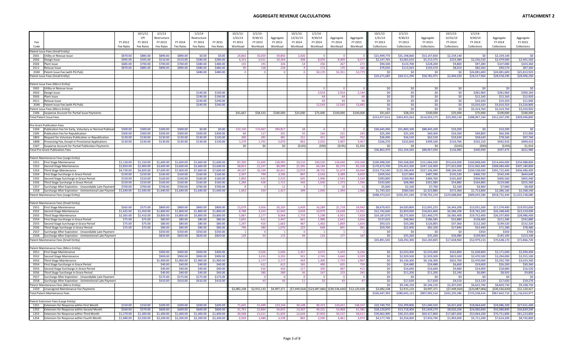## **AGGREGATE REVENUE CALCULATIONS ATTACHMENT**

| <b>ATTACHMENT 2</b> |  |
|---------------------|--|
|---------------------|--|

|                                                                                                                          |                          | 10/1/12                | 2/1/13                   |                          | 1/1/14                   |                          | 10/1/12             | 2/1/13              |                     | 10/1/13             | 1/1/14              |                                                                      |                     | 10/1/12                      | 2/1/13                       |                              | 10/1/13                     | 1/1/14                       |                              |                                    |
|--------------------------------------------------------------------------------------------------------------------------|--------------------------|------------------------|--------------------------|--------------------------|--------------------------|--------------------------|---------------------|---------------------|---------------------|---------------------|---------------------|----------------------------------------------------------------------|---------------------|------------------------------|------------------------------|------------------------------|-----------------------------|------------------------------|------------------------------|------------------------------------|
|                                                                                                                          |                          | CPI                    | Restructure              |                          | Restructure              |                          | 1/31/13             | 9/30/13             | Aggregate           | 12/31/13            | 9/30/14             | Aggregate                                                            | Aggregate           | 1/31/13                      | 9/30/13                      | Aggregate                    | 12/31/13                    | 9/30/14                      | Aggregate                    | Aggregate                          |
| Fee<br>Code                                                                                                              | FY 2012<br>Fee Rates     | FY 2013<br>Fee Rates   | FY 2013<br>Fee Rates     | FY 2014<br>Fee Rates     | FY 2014<br>Fee Rates     | FY 2015<br>Fee Rates     | FY 2013<br>Workload | FY 2013<br>Workload | FY 2013<br>Workload | FY 2014<br>Workload | FY 2014<br>Workload | FY 2014<br>Workload                                                  | FY 2015<br>Workload | FY 2013<br>Collections       | FY 2013<br>Collections       | FY 2013<br>Collections       | FY 2014<br>Collections      | FY 2014<br>Collections       | FY 2014<br>Collections       | FY 2015<br>Collections             |
|                                                                                                                          |                          |                        |                          |                          |                          |                          |                     |                     |                     |                     |                     |                                                                      |                     |                              |                              |                              |                             |                              |                              |                                    |
| tent Issue Fees (Small Entity)<br>2501<br>Utility or Reissue Issue                                                       | \$870.00                 | \$885.00               | \$890.00                 | \$890.00                 | \$0.00                   | \$0.00                   | 24.80               | 35.054              | 59.856              | 2.426               |                     |                                                                      |                     | \$21,949,770                 | \$31.198.060                 | \$53,147,830                 | \$2.159.140                 | SO                           | \$2,159,140                  | <b>K</b>                           |
| 2502<br>Design Issue                                                                                                     | \$495.00                 | \$505.00               | \$510.00                 | \$510.00                 | \$280.00                 | \$280.00                 | 4.253               | 6,011               | 10.264              | 438                 | 8.059               | 8.409                                                                | 8,57                | \$2,147,765                  | \$3,065,610                  | \$5,213,375                  | \$223,380                   | \$2,256,520                  | \$2,479,900                  | \$2,401.560                        |
| 2503<br>Plant Issue                                                                                                      | \$685.00                 | \$700.00               | \$700.00                 | \$700.00                 | \$380.00                 | \$380.00                 | 135                 | 191                 | 326                 | 14                  | 256                 | 267                                                                  | 272                 | \$94,500                     | \$133,700                    | \$228,200                    | \$9,800                     | \$97,280                     | \$107,080                    | \$103,360                          |
| 2511<br>Reissue Issue                                                                                                    | \$870.00                 | \$885.00               | \$890.00                 | \$890.00                 | \$480.00                 | \$480.00                 | 90                  | 128                 | 218                 | $\overline{q}$      | 172                 | 179                                                                  | 182                 | \$79,650                     | \$113,920                    | \$193,570                    | \$8,010                     | \$82,560                     | \$90,570                     | \$87,360                           |
| 25XX<br>Patent Issue Fee (with PG Pub)                                                                                   |                          |                        |                          |                          | \$480.00                 | \$480.00                 |                     |                     |                     | $\Omega$            | 50,170              | 52,351                                                               | 53,779              | \$0                          | \$0                          | \$0                          | -SO                         | \$24,081,600                 | \$24,081,600                 | \$25,813,92                        |
| Patent Issue Fees (Small Entity)                                                                                         |                          |                        |                          |                          |                          |                          |                     |                     |                     |                     |                     |                                                                      |                     | \$24,271,685                 | \$34,511,290                 | \$58,782,975                 | \$2,400,330                 | \$26,517,960                 | \$28,918,290                 | \$28,406,20                        |
|                                                                                                                          |                          |                        |                          |                          |                          |                          |                     |                     |                     |                     |                     |                                                                      |                     |                              |                              |                              |                             |                              |                              |                                    |
| Patent Issue Fees (Micro Entity)<br>3501<br>Utility or Reissue Issue                                                     |                          |                        |                          |                          |                          |                          |                     |                     |                     |                     |                     |                                                                      |                     | \$0                          | \$0                          | \$0                          | \$0                         | Šſ.                          | SO                           | \$0                                |
| 3502<br>Design Issue                                                                                                     |                          |                        |                          |                          | \$140.00                 | \$140.00                 |                     |                     |                     |                     | 2,014               | 2,014                                                                | 2,144               | \$0                          | \$0                          | \$0                          | \$0                         | \$281,960                    | \$281,960                    | \$300,160                          |
| 3503<br>Plant Issue                                                                                                      |                          |                        |                          |                          | \$190.00                 | \$190.00                 |                     |                     |                     |                     | 64                  | 64                                                                   | 68                  | \$0                          | \$0                          | \$0\$                        | \$0                         | \$12,160                     | \$12,160                     | \$12,920                           |
| 3511<br>Reissue Issue                                                                                                    |                          |                        |                          |                          | \$240.00                 | \$240.00                 |                     |                     |                     |                     | 43                  | 43                                                                   | $\Delta f$          | \$0                          | \$0                          | \$0                          | \$0                         | \$10,320                     | \$10,320                     | \$11,040                           |
| 35XX<br>Patent Issue Fee (with PG Pub)                                                                                   |                          |                        |                          |                          | \$240.00                 | \$240.00                 |                     |                     |                     |                     | 12.543              | 12,543                                                               | 13,445              | \$0                          | \$0                          | \$0                          | SO <sub>2</sub>             | \$3.010.320                  | \$3.010.320                  | \$3,226,800                        |
| atent Issue Fees (Micro Entity)                                                                                          |                          |                        |                          |                          |                          |                          |                     |                     |                     |                     |                     |                                                                      |                     | \$0                          | \$0                          | \$0                          | \$0                         | \$3,314,760                  | \$3,314,760                  | \$3,550,920                        |
| 1506 Suspense Account for Partial Issue Payments                                                                         |                          |                        |                          |                          |                          |                          | \$41,667            | \$58,333            | \$100,000           | \$25,000            | \$75,000            | \$100,000                                                            | \$100,000           | \$41,667                     | \$58,333                     | \$100,000                    | \$25,000                    | \$75,000                     | \$100,000                    | \$100,000                          |
| <b>Total Patent Issue Fees</b>                                                                                           |                          |                        |                          |                          |                          |                          |                     |                     |                     |                     |                     |                                                                      |                     | \$213,477,612                | \$303,455,563                | \$516,933,175                | \$23,300,130                | \$288,967,160                | \$312,267,290                | \$309,696,800                      |
| <b>Pre-Grant Publication Fees</b>                                                                                        |                          |                        |                          |                          |                          |                          |                     |                     |                     |                     |                     |                                                                      |                     |                              |                              |                              |                             |                              |                              |                                    |
| 1504<br>Publication Fee for Early, Voluntary or Normal Publicati                                                         | \$300.00                 | \$300.00               | \$300.00                 | \$300.00                 | \$0.00                   | \$0.00                   | 122,150             | 172,667             | 294,817             | 34                  |                     | $\Omega$                                                             |                     | \$36,645,000                 | \$51,800,100                 | \$88,445,100                 | \$10,200                    | \$0                          | \$10,200                     | \$0                                |
| Publication Fee for Republication<br>1505                                                                                | \$300.00                 | \$300.00               | \$300.00                 | \$300.00                 | \$300.00                 | \$300.00                 | 84                  | 117                 | 201                 | 55                  | 166                 | 221                                                                  | 243                 | \$25,200                     | \$35,100                     | \$60,300                     | \$16,500                    | \$49,800                     | \$66,300                     | \$72,900                           |
| 1803<br>Request for Voluntary Publication or Republication                                                               | \$130.00                 | \$130.00               | \$130.00                 | \$130.00                 | \$130.00                 | \$130.00                 | 200                 | 281                 | 481                 | 151                 | 451                 | 602                                                                  | 752                 | \$26,000                     | \$36,530                     | \$62,530                     | \$19,630                    | \$58,630                     | \$78,260                     | \$97,760                           |
| 1808<br>Processing Fee, Except in Provisional Applications                                                               | \$130.00                 | \$130.00               | \$130.00                 | \$130.00                 | \$130.00                 | \$130.00                 | 1,279               | 1,791               | 3,070               | 852                 | 2.555               | 3.407                                                                | 3.457               | \$166,270                    | \$232,830                    | \$399,100                    | \$110,760                   | \$332,150                    | \$442,910                    | \$449,410                          |
| 1507<br>Suspense Account for Partial Publication Payments                                                                |                          |                        |                          |                          |                          |                          | \$0                 | \$0                 | \$0                 | (5105)              | (590)               | (5195)                                                               | \$1,910             | \$0                          | \$0<br>\$52,104,560          | \$0                          | (5105)                      | (590)                        | (5195)                       | \$1,910<br>\$621,980               |
| otal Pre-Grant Publication Fees                                                                                          |                          |                        |                          |                          |                          |                          |                     |                     |                     |                     |                     |                                                                      |                     | \$36,862,470                 |                              | \$88,967,030                 | \$156,985                   | \$440,490                    | \$597,475                    |                                    |
| Patent Maintenance Fees (Large Entity)                                                                                   |                          |                        |                          |                          |                          |                          |                     |                     |                     |                     |                     |                                                                      |                     |                              |                              |                              |                             |                              |                              |                                    |
| 1551<br><b>First Stage Maintenance</b>                                                                                   | \$1,130.00               | \$1,150.00             | \$1,600.00               | \$1,600.00               | \$1,600.00               | \$1,600.00               | 87,390              | 31,605              | 118,995             | 33,510              | 100.530             | 134,040                                                              | 159,368             | \$100,498,500                | \$50,568,000                 | \$151,066,500                | \$53,616,000                | \$160,848,000                | \$214,464,000                | \$254,988,800                      |
| 1552<br>Second Stage Maintenance                                                                                         | \$2,850.00               | \$2,900.00             | \$3,600.00               | \$3,600.00               | \$3,600.00               | \$3,600.00               | 58,853              | 21,237              | 80,090              | 21,395              | 64,184              | 85,579                                                               | 85,32               | \$170,673,700                | \$76,453,200                 | \$247,126,900                | \$77,022,000                | \$231,062,400                | \$308,084,400                | \$307,180,800                      |
| 1553<br>Third Stage Maintenance                                                                                          | \$4,730.00               | \$4,820.00             | \$7,600.00               | \$7,600.00               | \$7,600.00               | \$7,600.00               | 44,547              | 16,104              | 60,651              | 12,919              | 38,75               | 51,674                                                               | 60,06               | \$214,716,540                | \$122,390,400                | \$337,106,940                | \$98,184,400                | \$294,538,000                | \$392,722,400                | \$456,486,40                       |
| 1554<br>First Stage Surcharge in Grace Period                                                                            | \$150.00                 | \$150.00               | \$160.00                 | \$160.00                 | \$160.00                 | \$160.00                 | 2,397               | 799                 | 3,196               | 847                 | 2,542               | 3,389                                                                | 4,029               | \$359,550                    | \$127,840                    | \$487,390                    | \$135,520                   | \$406,720                    | \$542,240                    | \$644,640                          |
| 1555<br>Second Stage Surcharge in Grace Period<br>1556                                                                   | \$150.00<br>\$150.00     | \$150.00               | \$160.00<br>\$160.00     | \$160.00                 | \$160.00<br>\$160.00     | \$160.00<br>\$160.00     | 1,892<br>1,284      | 631<br>428          | 2,523<br>1,712      | 635<br>343          | 1,906<br>1,030      | 2,541<br>1,373                                                       | 2,534<br>1,596      | \$283,800<br>\$192,600       | \$100,960<br>\$68,480        | \$384,760<br>\$261,080       | \$101,600<br>\$54,880       | \$304,960<br>\$164,800       | \$406,560<br>\$219,680       | \$405,440<br>\$255,360             |
| Third Stage Surcharge in Grace Period<br>1557<br>Surcharge After Expiration - Unavoidable Late Payment                   | \$700.00                 | \$150.00<br>\$700.00   | \$700.00                 | \$160.00<br>\$700.00     | \$700.00                 | \$700.00                 |                     |                     | 11                  |                     |                     | 10                                                                   | 12                  | \$5,600                      | \$2,100                      | \$7,700                      | \$2,100                     | \$4,900                      | \$7,000                      | \$8,400                            |
| 1558<br>Surcharge After Expiration - Unintentional Late Paymer                                                           | \$1,640.00               | \$1,640.00             | \$1,640.00               | \$1,640.00               | \$1,640.00               | \$1,640.00               | 1.063               | 354                 | 1.417               | 349                 | 1.045               | 1.394                                                                | 1.566               | \$1,743,320                  | \$580,560                    | \$2,323,880                  | \$572,360                   | \$1,713,800                  | \$2.286.160                  | \$2,568.24                         |
| Patent Maintenance Fees (Large Entity)                                                                                   |                          |                        |                          |                          |                          |                          |                     |                     |                     |                     |                     |                                                                      |                     | \$488,473,610                | \$250,291,540                | \$738,765,150                | \$229,688,860               | \$689,043,580                | \$918,732,440                | \$1,022,538,08                     |
|                                                                                                                          |                          |                        |                          |                          |                          |                          |                     |                     |                     |                     |                     |                                                                      |                     |                              |                              |                              |                             |                              |                              |                                    |
| Patent Maintenance Fees (Small Entity)                                                                                   |                          |                        |                          |                          |                          |                          |                     |                     |                     |                     |                     |                                                                      |                     |                              |                              |                              |                             |                              |                              |                                    |
| 2551<br><b>First Stage Maintenance</b>                                                                                   | \$565.00                 | \$575.00               | \$800.00                 | \$800.00                 | \$800.00                 | \$800,00                 | 15.079              | 5,026               | 20.105              | 5,429               | 16.289              | 21,718                                                               | 24.942              | \$8,670,425                  | \$4.020.800                  | \$12,691,225                 | \$4,343,200                 | \$13,031,200                 | \$17.374.400                 | \$19,953,600                       |
| 2552<br>Second Stage Maintenance                                                                                         | \$1,425.00<br>\$2,365.00 | \$1,450.00             | \$1,800.00<br>\$3,800.00 | \$1,800.00<br>\$3,800.00 | \$1,800.00<br>\$3,800.00 | \$1,800.00<br>\$3,800.00 | 8,788<br>5,887      | 3,255<br>2,177      | 12,043              | 3,659<br>1,733      | 10,979              | 14,638<br>6,931                                                      | 12,95               | \$12,742,600<br>\$14,187,670 | \$5.859,000<br>\$8,272,600   | \$18,601,600<br>\$22,460,270 | \$6,586,200<br>\$6,585,400  | \$19,762,200<br>\$19,752,400 | \$26,348,400<br>\$26,337,800 | \$23,319,000<br>\$28,986,400       |
| 2553<br><b>Third Stage Maintenance</b><br>2554<br>First Stage Surcharge in Grace Period                                  | \$75.00                  | \$2,410.00<br>\$75.00  | \$80.00                  | \$80.00                  | \$80.00                  | \$80.00                  | 1,835               | 612                 | 8,064<br>2,447      | 661                 | 5,198<br>1,980      | 2,641                                                                | 7,628<br>3,036      | \$137,625                    | \$48,960                     | \$186,585                    | \$52,880                    | \$158,400                    | \$211,280                    | \$242,88                           |
| 2555<br>Second Stage Surcharge in Grace Period                                                                           | \$75.00                  | \$75.00                | \$80.00                  | \$80.00                  | \$80.00                  | \$80.00                  | 1,247               | 416                 | 1,663               | 467                 | 1,402               | 1,869                                                                | 1,654               | \$93,525                     | \$33,280                     | \$126,805                    | \$37,360                    | \$112,160                    | \$149,520                    | \$132,32                           |
| 2556<br>Third Stage Surcharge in Grace Period                                                                            | \$75.00                  | \$75.00                | \$80.00                  | \$80.00                  | \$80.00                  | \$80.00                  | 796                 | 280                 | 1,076               | 223                 | 668                 | 891                                                                  | 981                 | \$59,700                     | \$22,400                     | \$82,100                     | \$17,840                    | \$53,440                     | \$71,280                     | \$78,480                           |
| 2557<br>Surcharge After Expiration - Unavoidable Late Payment                                                            |                          |                        | \$350.00                 | \$350.00                 | \$350.00                 | \$350.00                 |                     |                     |                     | $\Omega$            |                     | $\overline{1}$                                                       |                     | \$0                          | \$0                          | \$0                          | \$0                         | \$350                        | \$350                        | \$700                              |
| 2558<br>Surcharge After Expiration - Unintentional Late Payment                                                          |                          |                        | \$820.00                 | \$820.00                 | \$820.00                 | \$820,00                 | 129                 | 43                  | 172                 | 44                  | 133                 | 177                                                                  | 187                 | \$0                          | \$35,260                     | \$35,260                     | \$36,080                    | \$109,060                    | \$145,140                    | \$153,340                          |
| Patent Maintenance Fees (Small Entity)                                                                                   |                          |                        |                          |                          |                          |                          |                     |                     |                     |                     |                     |                                                                      |                     | \$35,891,545                 | \$18,292,300                 | \$54,183,845                 | \$17,658,960                | \$52,979,210                 | \$70,638,170                 | \$72,866,72                        |
| Patent Maintenance Fees (Micro Entity)                                                                                   |                          |                        |                          |                          |                          |                          |                     |                     |                     |                     |                     |                                                                      |                     |                              |                              |                              |                             |                              |                              |                                    |
| 3551<br>First Stage Maintenance                                                                                          |                          |                        | \$400.00                 | \$400.00                 | \$400.00                 | \$400.00                 |                     | 5,026               | 5,026               | 1,357               | 4,072               | 5,429                                                                | 6,236               | \$0                          | \$2,010,400                  | \$2,010,400                  | \$542,800                   | \$1,628,800                  | \$2,171,600                  | \$2,494,40                         |
| 3552<br>Second Stage Maintenance                                                                                         |                          |                        | \$900.00                 | \$900.00                 | \$900.00                 | \$900.00                 |                     | 3,255               | 3,255               | 915                 | 2,745               | 3,660                                                                | 3,239               | \$0                          | \$2,929,500                  | \$2,929,500                  | \$823,500                   | \$2,470,500                  | \$3,294,000                  | \$2,915,10                         |
| 3553<br>Third Stage Maintenance                                                                                          |                          |                        | \$1,900.00               | \$1,900.00               | \$1,900.00               | \$1,900.00               |                     | 2,177               | 2,177               | 433                 | 1.300               | 1,733                                                                | 1,907               | \$0                          | \$4,136,300                  | \$4,136,300                  | \$822,700                   | \$2,470,000                  | \$3,292,700                  | \$3,623,300                        |
| 3554<br>First Stage Surcharge in Grace Period                                                                            |                          |                        | \$40.00                  | \$40.00                  | \$40.00                  | \$40.00                  |                     | 612                 | 612                 | 165                 | 490                 | 655                                                                  | 759                 | \$0                          | \$24,480                     | \$24,480                     | \$6,600                     | \$19,600                     | \$26,200                     | \$30,360                           |
| 3555<br>Second Stage Surcharge in Grace Period                                                                           |                          |                        | \$40.00                  | \$40.00                  | \$40.00                  | \$40.00                  |                     | 416                 | 416                 | 117                 | 350                 | 467                                                                  | 413                 | \$0                          | \$16,640                     | \$16,640                     | \$4,680                     | \$14,000                     | \$18,680                     | \$16,520                           |
| 3556<br>Third Stage Surcharge in Grace Period<br>3557                                                                    |                          |                        | \$40.00<br>\$175.00      | \$40.00                  | \$40.00<br>\$175.00      | \$40.00                  |                     | 280                 | 280                 | 56                  | 167<br>$\Omega$     | 223                                                                  | 245                 | \$0<br>\$0                   | \$11,200                     | \$11,200                     | \$2,240                     | \$6,680<br>- \$0             | \$8,920                      | \$9,800<br>$\overline{\mathbf{S}}$ |
| Surcharge After Expiration - Unavoidable Late Payment<br>3558<br>Surcharge After Expiration - Unintentional Late Payment |                          |                        | \$410.00                 | \$175.00<br>\$410.00     | \$410.00                 | \$175.00<br>\$410.00     |                     | $\Delta$ 3          | 43                  | - 0<br>11           | 32                  | $\Omega$<br>43                                                       | $\Delta$ 7          | \$0                          | \$0<br>\$17,630              | \$0<br>\$17,630              | \$0<br>\$4,510              | \$13,120                     | \$0<br>\$17,630              | \$19,270                           |
| Patent Maintenance Fees (Micro Entity)                                                                                   |                          |                        |                          |                          |                          |                          |                     |                     |                     |                     |                     |                                                                      |                     | \$0                          | \$9,146,150                  | \$9,146,150                  | \$2,207,030                 | \$6,622,700                  | \$8,829,730                  | \$9,108,75                         |
| 1559 Unassigned Maintenance Fee Payments                                                                                 |                          |                        |                          |                          |                          |                          | \$2.082.238         | \$2,915,133         |                     |                     |                     | \$4,997,371 (\$7,449,564) (\$23,087,066) (\$30,536,630) \$12,120,428 |                     | \$2,082,238                  | \$2,915,133                  | \$4,997,371                  | (57, 449, 564)              | (\$23,087,066)               | (\$30,536,630                | \$12,120,42                        |
| <b>Total Patent Maintenance Fees</b>                                                                                     |                          |                        |                          |                          |                          |                          |                     |                     |                     |                     |                     |                                                                      |                     | \$526,447,393                | \$280,645,123                | \$807,092,516                | \$242,105,286               | \$725,558,424                | \$967,663,710                | \$1,116,633,97                     |
|                                                                                                                          |                          |                        |                          |                          |                          |                          |                     |                     |                     |                     |                     |                                                                      |                     |                              |                              |                              |                             |                              |                              |                                    |
| Patent Extension Fees (Large Entity)                                                                                     |                          |                        |                          |                          |                          |                          |                     |                     |                     |                     |                     |                                                                      |                     |                              |                              |                              |                             |                              |                              |                                    |
| 1251<br>Extension for Response within First Month                                                                        | \$150.00<br>\$560.00     | \$150.00               | \$200.00                 | \$200.00                 | \$200.00                 | \$200.00                 | 71,605              | 51,499              | 123,104             | 30,108              | 90,323              | 120,431                                                              | 138,25              | \$10,740,750                 | \$10,299,800                 | \$21,040,550                 | \$6,021,600                 | \$18,064,600                 | \$24,086,200                 | \$27,651,400<br>\$36,829,20        |
| 1252<br>Extension for Response within Second Month<br>1253<br>Extension for Response within Third Month                  | \$1,270.00               | \$570.00<br>\$1,300.00 | \$600.00<br>\$1,400.00   | \$600.00<br>\$1,400.00   | \$600.00<br>\$1,400.00   | \$600.00<br>\$1,400.00   | 31,791<br>30.048    | 22,864<br>21,611    | 54.655<br>51.659    | 13.367<br>12,634    | 40.10:<br>37,903    | 53,468<br>50,537                                                     | 61.38<br>58,017     | \$18,120,870<br>\$39,062,400 | \$13,718,400<br>\$30,255,400 | \$31,839,270<br>\$69,317,800 | \$8,020,200<br>\$17,687,600 | \$24,060,600<br>\$53,064,200 | \$32,080,800<br>\$70,751,800 | \$81,223,800                       |
| Extension for Response within Fourth Month<br>1254                                                                       | \$1,980.00               | \$2,030.00             | \$2,200.00               | \$2,200.00               | \$2,200.00               | \$2,200.00               | 2.058               | 1.480               | 3.538               | 865                 | 2,596               | 3,461                                                                | 3.974               | \$4,177,740                  | \$3,256,000                  | \$7,433,740                  | \$1,903,000                 | \$5,711,200                  | \$7,614,200                  | \$8,742,800                        |
|                                                                                                                          |                          |                        |                          |                          |                          |                          |                     |                     |                     |                     |                     |                                                                      |                     |                              |                              |                              |                             |                              |                              |                                    |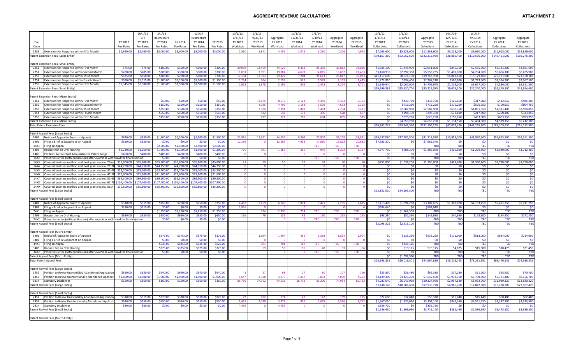|                                                                                                                                              |                      | 10/1/12                    | 2/1/13                     |                            | 1/1/14                     |                            | $10/1/12$ -      | $2/1/13$ -      |                  | 10/1/13                 | 1/1/14               |                  |                  | 10/1/12-                    | 2/1/13                     |                             | 10/1/13                    | 1/1/14                      |                             |                           |
|----------------------------------------------------------------------------------------------------------------------------------------------|----------------------|----------------------------|----------------------------|----------------------------|----------------------------|----------------------------|------------------|-----------------|------------------|-------------------------|----------------------|------------------|------------------|-----------------------------|----------------------------|-----------------------------|----------------------------|-----------------------------|-----------------------------|---------------------------|
|                                                                                                                                              |                      | CPI                        | Restructure                |                            | Restructure                |                            | 1/31/13          | 9/30/13         | Aggregate        | 12/31/13                | 9/30/14              | Aggregate        | Aggregate        | 1/31/13                     | 9/30/13                    | Aggregate                   | 12/31/13                   | 9/30/14                     | Aggregate                   | Aggregate                 |
| Fee                                                                                                                                          | FY 2012              | FY 2013                    | FY 2013                    | FY 2014                    | FY 2014                    | FY 2015                    | FY 2013          | FY 2013         | FY 2013          | FY 2014                 | FY 2014              | FY 2014          | FY 2015          | FY 2013                     | FY 2013                    | FY 2013                     | FY 2014                    | FY 2014                     | FY 2014                     | FY 2015                   |
| Code                                                                                                                                         | <b>Fee Rates</b>     | Fee Rates                  | Fee Rates                  | Fee Rates                  | Fee Rates                  | Fee Rates                  | Workload         | Workload        | Workload         | Workload                | Workload             | Workload         | Workload         | Collections                 | Collections                | Collections                 | Collections                | Collections                 | Collections                 | Collections               |
| Extension for Response within Fifth Month<br>1255                                                                                            | \$2,690.00           | \$2,760.00                 | \$3,000.00                 | \$3,000.00                 | \$3,000.00                 | \$3,000.00                 | 2.560            | 1,841           | 4,401            | 1,076                   | 3,230                | 4,306            | 4,943            | \$7,065,600                 | \$5,523,000                | \$12,588,600                | \$3,228,000                | \$9,690,000                 | \$12,918,000                | \$14,829,000              |
| Patent Extension Fees (Large Entity)                                                                                                         |                      |                            |                            |                            |                            |                            |                  |                 |                  |                         |                      |                  |                  | \$79,167,360                | \$63,052,600               | \$142,219,960               | \$36,860,400               | \$110,590,600               | \$147,451,000               | \$169,276,20              |
|                                                                                                                                              |                      |                            |                            |                            |                            |                            |                  |                 |                  |                         |                      |                  |                  |                             |                            |                             |                            |                             |                             |                           |
| Patent Extension Fees (Small Entity)                                                                                                         |                      |                            |                            |                            |                            |                            |                  |                 |                  |                         |                      |                  |                  |                             |                            |                             |                            |                             |                             |                           |
| 2251<br><b>Extension for Response within First Month</b>                                                                                     | \$75.00              | \$75.00                    | \$100.00                   | \$100.00                   | \$100.00                   | \$100.00                   | 20.068           | 14,459          | 34,527           | 8.453                   | 25,359               | 33,812           | 38.81            | \$1,505,100                 | \$1,445,900                | \$2,951,000                 | \$845,300                  | \$2,535,900                 | \$3,381,200                 | \$3,881,600               |
| 2252<br>Extension for Response within Second Month<br>2253<br>Extension for Response within Third Month                                      | \$280.00<br>\$635.00 | \$285.00<br>\$650.00       | \$300.00<br>\$700.00       | \$300.00<br>\$700.00       | \$300.00<br>\$700.00       | \$300.00<br>\$700.00       | 11,091<br>17,104 | 7,991<br>12.323 | 19,082<br>29.427 | 4,672<br>7,204          | 14,015<br>21,613     | 18,687<br>28,817 | 21,453<br>33,083 | \$3,160,935<br>\$11,117,600 | \$2,397,300<br>\$8,626,100 | \$5,558,235<br>\$19,743,700 | \$1,401,600<br>\$5,042,800 | \$4,204,500<br>\$15,129,100 | \$5,606,100<br>\$20,171,900 | \$6,435,90<br>\$23,158,10 |
| Extension for Response within Fourth Month<br>2254                                                                                           | \$990.00             | \$1,015.00                 | \$1,100.00                 | \$1,100.00                 | \$1,100.00                 | \$1,100.00                 | 1,254            | 904             | 2,158            | 528                     | 1,585                | 2,113            | 2,425            | \$1,272,810                 | \$994,400                  | \$2,267,210                 | \$580,800                  | \$1,743,500                 | \$2,324,300                 | \$2,667,50                |
| 2255<br>Extension for Response within Fifth Month                                                                                            | \$1,345.00           | \$1,380.00                 | \$1,500.00                 | \$1,500.00                 | \$1,500.00                 | \$1,500.00                 | 1,913            | 1,378           | 3,291            | 806                     | 2,418                | 3,224            | 3,701            | \$2,639,940                 | \$2,067,000                | \$4,706,940                 | \$1,209,000                | \$3,627,000                 | \$4,836,000                 | \$5,551,50                |
| Patent Extension Fees (Small Entity)                                                                                                         |                      |                            |                            |                            |                            |                            |                  |                 |                  |                         |                      |                  |                  | \$19,696,385                | \$15,530,700               | \$35,227,085                | \$9,079,500                | \$27,240,000                | \$36,319,500                | \$41,694,600              |
|                                                                                                                                              |                      |                            |                            |                            |                            |                            |                  |                 |                  |                         |                      |                  |                  |                             |                            |                             |                            |                             |                             |                           |
| Patent Extension Fees (Micro Entity)                                                                                                         |                      |                            |                            |                            |                            |                            |                  |                 |                  |                         |                      |                  |                  |                             |                            |                             |                            |                             |                             |                           |
| 3251<br>Extension for Response within First Month                                                                                            |                      |                            | \$50.00                    | \$50.00                    | \$50.00                    | \$50.00                    |                  | 8.675           | 8,675            | 2,113                   | 6,340                | 8.453            | 9.704            | \$0                         | \$433,750                  | \$433,750                   | \$105,650                  | \$317,000                   | \$422,650                   | \$485,200                 |
| 3252<br>Extension for Response within Second Month                                                                                           |                      |                            | \$150.00                   | \$150.00                   | \$150.00                   | \$150.00                   |                  | 4,795           | 4,795            | 1,168                   | 3,505                | 4.673            | 5.36             | \$0                         | \$719,250                  | \$719,250                   | \$175,200                  | \$525,750                   | \$700,950                   | \$804,450                 |
| 3253<br>Extension for Response within Third Month                                                                                            |                      |                            | \$350.00                   | \$350.00                   | \$350.00                   | \$350.00                   |                  | 7,394           | 7,394            | 1,801                   | 5,403                | 7,204            | 8,271            | \$0                         | \$2,587,900                | \$2,587,900                 | \$630,350                  | \$1,891,050                 | \$2,521,400                 | \$2,894,850               |
| 3254<br>Extension for Response within Fourth Month                                                                                           |                      |                            | \$550.00                   | \$550.00                   | \$550.00                   | \$550.00                   |                  | 542             | 542              | 132                     | 396                  | 528              | 60               | \$0                         | \$298,100                  | \$298,100                   | \$72,600                   | \$217,800                   | \$290,400                   | \$333,85                  |
| Extension for Response within Fifth Month<br>3255                                                                                            |                      |                            | \$750.00                   | \$750.00                   | \$750.00                   | \$750.00                   |                  | 827             | 827              | 201                     | 604                  | 805              | 925              | SO <sub>2</sub><br>\$0\$    | \$620,250<br>\$4,659,250   | \$620,250<br>\$4,659,250    | \$150,750<br>\$1,134,550   | \$453,000<br>\$3,404,600    | \$603,750<br>\$4,539,150    | \$693,75<br>\$5,212,10    |
| Patent Extension Fees (Micro Entity)<br><b>Total Patent Extension Fees</b>                                                                   |                      |                            |                            |                            |                            |                            |                  |                 |                  |                         |                      |                  |                  | \$98,863,745                | \$83,242,550               | \$182,106,295               | \$47,074,450               | \$141,235,200               | \$188,309,650               | \$216,182,900             |
|                                                                                                                                              |                      |                            |                            |                            |                            |                            |                  |                 |                  |                         |                      |                  |                  |                             |                            |                             |                            |                             |                             |                           |
| Patent Appeal Fees (Large Entity)                                                                                                            |                      |                            |                            |                            |                            |                            |                  |                 |                  |                         |                      |                  |                  |                             |                            |                             |                            |                             |                             |                           |
| 1401<br>Notice of Appeal to Board of Appeals                                                                                                 | \$620.00             | \$630.00                   | \$1,500.00                 | \$1,500.00                 | \$1,500.00                 | \$1,500.00                 | 22.91            | 11,521          | 34.437           | 9.302                   | 27.907               | 37.209           | 38.841           | \$14,437,080                | \$17,281,500               | \$31,718,580                | \$13,953,000               | \$41,860,500                | \$55,813,500                | \$58,261,500              |
| 1402<br>Filing a Brief in Support of an Appeal                                                                                               | \$620.00             | \$630.00                   | \$0.00                     | \$0.00                     | \$0.00                     | \$0.00                     | 12,199           |                 | 12,199           | 4,953                   | 14,860               | 19,813           | 20,682           | \$7,685,370                 | \$0                        | \$7,685,370                 | \$0                        | S <sub>0</sub>              | - \$0                       | - ŚC                      |
| 14X1<br>Filing an Appeal                                                                                                                     |                      |                            | \$2,500.00                 | \$2,500.00                 | \$2,500.00                 | \$2,500.00                 |                  |                 |                  |                         | <b>TBD</b>           | <b>TBD</b>       | TBD              |                             |                            | <b>TBD</b>                  | <b>TBD</b>                 | <b>TBD</b>                  | <b>TBC</b>                  | <b>TBI</b>                |
| 1403<br>Request for an Oral Hearing                                                                                                          | \$1,240.00           | \$1,260.00                 | \$1,300.00                 | \$1,300.00                 | \$1,300.00                 | \$1,300.00                 | 776              | 391             | 1.167            | 316                     | 946                  | 1,262            | 1,317            | \$977,760                   | \$508,300                  | \$1,486,060                 | \$410,800                  | \$1,229,800                 | \$1,640,600                 | \$1,712,100               |
| Petitions to the Chief Administrative Patent Judge<br>1405                                                                                   | \$400.00             | \$400.00                   | \$400.00                   | \$400.00                   | \$400.00                   | \$400.00                   |                  |                 | $\Omega$         |                         |                      |                  |                  | -SO                         | \$0                        | \$0                         | -SO                        | -SO                         | <b>SO</b>                   | -ŚI                       |
| Patent issue fee (with publication) after examiner withdrawl for final rejection<br>14X2                                                     |                      |                            | \$0.00                     | \$0.00                     | \$0.00                     | \$0.00                     |                  |                 |                  |                         | <b>TBD</b>           | TBD              | TBD              | \$0                         | \$0                        | <b>TBD</b>                  | <b>TBD</b>                 | <b>TBD</b>                  | <b>TBD</b>                  | <b>TBI</b>                |
| 14X3<br>Covered business method and post grant review, 20 or<br>14X4                                                                         | \$35,800.00          | \$35,800.00                | \$35,800.00                | \$35,800.00                | \$35,800.00                | \$35,800.00                | 21               | 29              | 50               | 12                      | 38                   | 50               |                  | \$751,800                   | \$1,038,200                | \$1,790,000                 | \$429,600                  | \$1,360,400                 | \$1,790,000                 | \$1,790,000               |
| Covered business method and post grant review, 21-30 \$44,750.00<br>14X5<br>Covered business method and post grant review, 31-40 \$53,700.00 |                      | \$44,750.00<br>\$53,700.00 | \$44,750.00<br>\$53,700.00 | \$44,750.00<br>\$53,700.00 | \$44,750.00<br>\$53,700.00 | \$44,750.00<br>\$53,700.00 |                  |                 | $\Omega$<br>- 0  | - 0                     | $\Omega$<br>$\Omega$ | $\Omega$         |                  | \$0<br>\$0                  | \$0<br>\$0                 | \$0<br>\$0                  | \$0<br>\$0                 | -SO<br>\$0                  | \$C<br>\$0                  | S <sub>0</sub><br>\$0     |
| 14X6<br>Covered business method and post grant review, 41-50 \$71,600.00                                                                     |                      | \$71,600.00                | \$71,600.00                | \$71,600.00                | \$71,600.00                | \$71,600.00                |                  |                 | $\Omega$         | $\Omega$                | $\overline{0}$       | $\Omega$         |                  | \$0                         | \$0                        | \$0                         | \$0                        | \$0                         | \$0                         | \$0                       |
| 14X7<br>Covered business method and post grant review, 51-60 \$89,500.00                                                                     |                      | \$89,500.00                | \$89,500.00                | \$89,500.00                | \$89,500.00                | \$89,500.00                | $\Omega$         | $\Omega$        | $\overline{0}$   | $\overline{\mathbf{0}}$ | $\overline{0}$       | $\overline{0}$   |                  | \$0                         | \$0                        | \$0                         | \$0                        | \$0                         | \$0                         | \$0                       |
| 14X8<br>Covered business method and post grant review, 61-70 \$107,400.00                                                                    |                      | \$107,400.00               | 107,400.00                 | \$107,400.00               | 107,400.00                 | \$107,400.00               |                  |                 | $\mathbf{0}$     | $\Omega$                | $\overline{0}$       | $\Omega$         |                  | \$0                         | \$0                        | \$0                         | \$0                        | S <sub>0</sub>              | \$0                         | \$0                       |
| Covered business method and post grant review, each \$35,800.00<br>14X9                                                                      |                      | \$35,800.00                | \$35,800.00                | \$35,800.00                | \$35,800.00                | \$35,800.00                |                  |                 |                  |                         |                      |                  |                  | \$0                         | \$0                        | \$0                         | S <sub>0</sub>             | \$0                         | \$0                         | \$0                       |
| Patent Appeal Fees (Large Entity)                                                                                                            |                      |                            |                            |                            |                            |                            |                  |                 |                  |                         |                      |                  |                  | \$23,852,010                | \$34,165,500               | <b>TBD</b>                  | TBD                        | <b>TBD</b>                  | <b>TBD</b>                  | <b>TBD</b>                |
|                                                                                                                                              |                      |                            |                            |                            |                            |                            |                  |                 |                  |                         |                      |                  |                  |                             |                            |                             |                            |                             |                             |                           |
| Patent Appeal Fees (Small Entity)                                                                                                            |                      |                            |                            |                            |                            |                            |                  |                 |                  |                         |                      |                  |                  |                             |                            |                             |                            |                             |                             |                           |
| 2401<br>Notice of Appeal to Board of Appeals                                                                                                 | \$310.00             | \$315.00                   | \$750.00                   | \$750.00                   | \$750.00                   | \$750.00                   | 4,487            | 2,259           | 6,746            | 1,824                   | 5,471                | 7,295            | 7,615            | \$1,413,405                 | \$1,694,250                | \$3,107,655                 | \$1,368,000                | \$4,103,250                 | \$5,471,250                 | \$5,711,250               |
| 2402<br>Filing a Brief in Support of an Appeal<br>24X1                                                                                       | \$310.00             | \$315.00                   | \$0.00                     | \$0.00                     | 50.00                      | \$0.00                     | 1,856            | 934             | - 0              |                         | - 0                  |                  |                  | \$584,640                   | \$0                        | \$584,640<br><b>TRD</b>     | -SO<br>TBD                 | - \$0<br><b>TRD</b>         | \$0                         | -ŚC                       |
| Filing an Appeal<br>2403<br>Request for an Oral Hearing                                                                                      | \$620.00             | \$630.00                   | \$1,250.00<br>\$650.00     | \$1,250.00<br>\$650.00     | \$1,250.00<br>\$650.00     | \$1,250.00<br>\$650.00     | 156              | 79              | 2,790<br>235     | 754<br>63               | <b>TBD</b><br>190    | TBD<br>253       | TBD<br>265       | \$0<br>\$98,280             | \$1,167,500<br>\$51,350    | \$149,630                   | \$40,950                   | \$123,500                   | <b>TBD</b><br>\$164,450     | <b>TBI</b><br>\$172,250   |
| 24X2<br>Patent issue fee (with publication) after examiner withdrawl for final rejection                                                     |                      |                            | 50.00                      | \$0.00                     | \$0.00                     | \$0.00                     |                  |                 | $\Omega$         |                         | <b>TBD</b>           | TBD              | TBD              | -SO                         | -SO                        | <b>TRD</b>                  | <b>TRC</b>                 | <b>TBD</b>                  | <b>TRI</b>                  | <b>TBI</b>                |
| Patent Appeal Fees (Small Entity)                                                                                                            |                      |                            |                            |                            |                            |                            |                  |                 |                  |                         |                      |                  |                  | \$2,096,325                 | \$2,913,100                | <b>TBD</b>                  | <b>TBD</b>                 | <b>TBD</b>                  | <b>TBD</b>                  | <b>TBD</b>                |
|                                                                                                                                              |                      |                            |                            |                            |                            |                            |                  |                 |                  |                         |                      |                  |                  |                             |                            |                             |                            |                             |                             |                           |
| Patent Appeal Fees (Micro Entity)                                                                                                            |                      |                            |                            |                            |                            |                            |                  |                 |                  |                         |                      |                  |                  |                             |                            |                             |                            |                             |                             |                           |
| 3401<br>Notice of Appeal to Board of Appeals                                                                                                 |                      |                            | \$375.00                   | \$375.00                   | \$375.00                   | \$375.00                   |                  | 1,694           | 1,694            | 456                     | 1,368                | 1,824            | 1.904            | \$0                         | \$635,250                  | \$635,250                   | \$171,000                  | \$513,000                   | \$684,000                   | \$714,000                 |
| 3402<br>Filing a Brief in Support of an Appeal                                                                                               |                      |                            | \$0.00                     | \$0.00                     | \$0.00                     | \$0.00                     |                  |                 | - 0              |                         | - 0                  |                  |                  | SO <sub>2</sub>             | -SO                        | \$0                         | - \$0                      | - \$0                       | -\$0                        | - ŚC                      |
| 34X1<br>Filing an Appeal                                                                                                                     |                      |                            | \$625.00                   | \$625.00                   | \$625.00                   | \$625.00                   |                  | 701             | 701              | 189                     | <b>TBD</b>           | <b>TBD</b>       | TBD              | \$0                         | \$438,125                  | <b>TBD</b>                  | <b>TBD</b>                 | <b>TBD</b>                  | <b>TBD</b>                  | <b>TBI</b>                |
| 3403<br>Request for an Oral Hearing                                                                                                          |                      |                            | \$325.00                   | \$325.00                   | \$325.00                   | \$325.00                   |                  | 59              | 59<br>$\Omega$   | 15                      | 48                   | -63              |                  | \$0                         | \$19,175                   | \$19,175                    | \$4,875                    | \$15,600                    | \$20,475                    | \$21,450<br><b>TR</b>     |
| 34X2 Patent issue fee (with publication) after examiner withdrawl for final rejection<br>Patent Appeal Fees (Micro Entity)                   |                      |                            | \$0.00                     | \$0.00                     | \$0.00                     | \$0.00                     |                  |                 |                  |                         | <b>TBD</b>           | <b>TBD</b>       | <b>TBD</b>       | \$0<br>\$0                  | -SO<br>\$1,092,550         | <b>TBD</b><br><b>TBD</b>    | <b>TBD</b><br><b>TBD</b>   | <b>TBD</b><br><b>TBD</b>    | <b>TBD</b><br><b>TBD</b>    | <b>TBI</b>                |
| <b>Total Patent Appeal Fees</b>                                                                                                              |                      |                            |                            |                            |                            |                            |                  |                 |                  |                         |                      |                  |                  | \$25,948,335                | \$19,016,501               | \$44,964,836                | \$15,208,745               | \$78,231,391                | \$93,440,136                | \$24,988,535              |
|                                                                                                                                              |                      |                            |                            |                            |                            |                            |                  |                 |                  |                         |                      |                  |                  |                             |                            |                             |                            |                             |                             |                           |
| Patent Revival Fees (Large Entity)                                                                                                           |                      |                            |                            |                            |                            |                            |                  |                 |                  |                         |                      |                  |                  |                             |                            |                             |                            |                             |                             |                           |
| 1452<br>Petition to Revive Unavoidably Abandoned Application                                                                                 | \$620.00             | \$630.00                   | \$640.00                   | \$640.00                   | \$640.00                   | \$640.00                   | 41               | 57              | -98              | 27                      | 80                   | 107              | 110              | \$25,830                    | \$36,480                   | \$62,310                    | \$17,280                   | \$51,200                    | \$68,480                    | \$70,400                  |
| 1453<br>Petition to Revive Unintentionally Abandoned Applicati                                                                               | \$1,860.00           | \$1,900.00                 | \$1,900.00                 | \$1,900.00                 | \$1,900.00                 | \$1,900.00                 | 1.647            | 2.328           | 3.975            | 1.017                   | 3.052                | 4.069            | 4.293            | \$3,129,300                 | \$4,423,200                | \$7,552,500                 | \$1,932,300                | \$5,798,800                 | \$7,731,100                 | \$8,156,70                |
| 1814 Statutory Disclaimer                                                                                                                    | \$160.00             | \$160.00                   | \$160.00                   | \$160.00                   | \$160.00                   | \$160.00                   | 26,769           | 37,762          | 64,531           | 18,732                  | 56,200               | 74,934           | 86,752           | \$4,283,040                 | \$6,041,920                | \$10,324,960                | \$2,997,120                | \$8,992,000                 | \$11,989,120                | \$13,880,32               |
| Patent Revival Fees (Large Entity)                                                                                                           |                      |                            |                            |                            |                            |                            |                  |                 |                  |                         |                      |                  |                  | \$7,438,170                 | \$10,501,600               | \$17,939,770                | \$4,946,700                | \$14,842,000                | \$19,788,700                | \$22,107,420              |
|                                                                                                                                              |                      |                            |                            |                            |                            |                            |                  |                 |                  |                         |                      |                  |                  |                             |                            |                             |                            |                             |                             |                           |
| Patent Revival Fees (Small Entity)                                                                                                           | \$310.00             | \$315.00                   | \$320.00                   | \$320.00                   | \$320.00                   | \$320.00                   |                  | 102             | 174              | 47                      | 142                  | 18 <sup>c</sup>  | 19               | \$22,680                    |                            |                             |                            |                             | \$60,480                    |                           |
| Petition to Revive Unavoidably Abandoned Application<br>2452<br>Petition to Revive Unintentionally Abandoned Applicati<br>2453               | S930.00              | \$950.00                   | \$950.00                   | \$950.00                   | \$950.00                   | \$950.00                   | 1.439            | 2.039           | 3.478            | 891                     | 2.675                | 3.566            | 3.76             | \$1,367,050                 | \$32,640<br>\$1,937,050    | \$55,320<br>\$3,304,100     | \$15,040<br>\$846,450      | \$45,440<br>\$2,541.250     | \$3,387,700                 | \$62,400<br>\$3,573,900   |
| 2814 Statutory Disclaimer                                                                                                                    | \$80.00              | \$80.00                    | \$0.00                     | \$0.00                     | \$0.00                     | \$0.00                     | 4,459            |                 | 4,459            |                         |                      |                  |                  | \$356,720                   | -SO                        | \$356,720                   | - SO                       |                             | -SC                         |                           |
| Patent Revival Fees (Small Entity)                                                                                                           |                      |                            |                            |                            |                            |                            |                  |                 |                  |                         |                      |                  |                  | \$1,746,450                 | \$1,969,690                | \$3,716,140                 | \$861,490                  | \$2,586,690                 | \$3,448,180                 | \$3,636,300               |
|                                                                                                                                              |                      |                            |                            |                            |                            |                            |                  |                 |                  |                         |                      |                  |                  |                             |                            |                             |                            |                             |                             |                           |
| Patent Revival Fees (Micro Entity)                                                                                                           |                      |                            |                            |                            |                            |                            |                  |                 |                  |                         |                      |                  |                  |                             |                            |                             |                            |                             |                             |                           |
|                                                                                                                                              |                      |                            |                            |                            |                            |                            |                  |                 |                  |                         |                      |                  |                  |                             |                            |                             |                            |                             |                             |                           |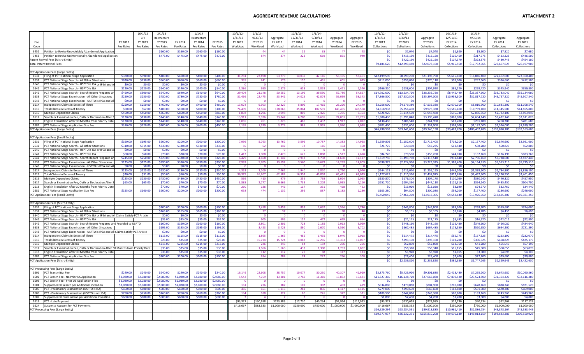|              |                                                                                                                                             | 10/1/12                | 2/1/13                 |                        | 1/1/14                  |                        | 10/1/12       | 2/1/13        |                | $10/1/13$ -                   | 1/1/14        |                      |                 | 10/1/12                  | 2/1/13                   |                          | 10/1/13                | 1/1/14                   |                          |                         |
|--------------|---------------------------------------------------------------------------------------------------------------------------------------------|------------------------|------------------------|------------------------|-------------------------|------------------------|---------------|---------------|----------------|-------------------------------|---------------|----------------------|-----------------|--------------------------|--------------------------|--------------------------|------------------------|--------------------------|--------------------------|-------------------------|
|              |                                                                                                                                             | CPI                    | Restructure            |                        | Restructure             |                        | 1/31/13       | 9/30/13       | Aggregate      | 12/31/13                      | 9/30/14       | Aggregate            | Aggregate       | 1/31/13                  | 9/30/13                  | Aggregate                | 12/31/13               | 9/30/14                  | Aggregate                | Aggregate               |
| Fee          | FY 2012                                                                                                                                     | FY 2013                | FY 2013                | FY 2014                | FY 2014                 | FY 2015                | FY 2013       | FY 2013       | FY 2013        | FY 2014                       | FY 2014       | FY 2014              | FY 2015         | FY 2013                  | FY 2013                  | FY 2013                  | FY 2014                | FY 2014                  | FY 2014                  | FY 2015                 |
| Code         | <b>Fee Rates</b>                                                                                                                            | Fee Rates              | Fee Rates              | Fee Rates              | Fee Rates               | Fee Rates              | Workload      | Workload      | Workload       | Workload                      | Workload      | Workload             | Workload        | Collections              | Collections              | Collections              | Collections            | Collections              | Collections              | Collections             |
| 3452         | Petition to Revive Unavoidably Abandoned Application                                                                                        |                        | \$160.00               | \$160.00               | \$160.00                | \$160.00               |               | 44            | 44             | 12                            |               | 47                   |                 | \$0                      | \$7,040                  | \$7,040                  | \$1,920                | \$5,600                  | \$7,520                  | \$7,680                 |
| 3453         | Petition to Revive Unintentionally Abandoned Application                                                                                    |                        | \$475.00               | \$475.00               | \$475.00                | \$475.00               |               | 874           | 874            | 222                           | 669           | 891                  | 940             | \$0                      | \$415.150                | \$415,150                | \$105,450              | \$317,775                | \$423.225                | \$446,500               |
|              | Patent Revival Fees (Micro Entity)                                                                                                          |                        |                        |                        |                         |                        |               |               |                |                               |               |                      |                 | \$0                      | \$422.190                | \$422.190                | \$107,370              | \$323.375                | \$430.745                | \$454.180               |
|              | Total Patent Revival Fees                                                                                                                   |                        |                        |                        |                         |                        |               |               |                |                               |               |                      |                 | \$9,184,620              | \$12,893,480             | \$22,078,100             | \$5,915,560            | \$17,752,065             | \$23,667,625             | \$26,197,900            |
|              | PCT Application Fees (Large Entity)                                                                                                         |                        |                        |                        |                         |                        |               |               |                |                               |               |                      |                 |                          |                          |                          |                        |                          |                          |                         |
| 1631         | Filing of PCT National Stage Application<br>\$380.00                                                                                        | \$390.00               | \$400.00               | \$400.00               | \$400.00                | \$400.00               | 31,281        | 22,498        | 53,779         | 14,039                        | 42,116        | 56,155               | 58,401          | \$12,199,590             | \$8,999,200              | \$21,198,790             | \$5,615,600            | \$16,846,400             | \$22,462,000             | \$23,360,400            |
| 1632         | PCT National Stage Search - All Other Situations<br>\$620.00                                                                                | \$630.00               | \$660.00               | \$660,00               | \$660.00                | \$660.00               | 335           | 241           | 576            | 150                           | 451           | 601                  | 62              | \$211,050                | \$159,060                | \$370,110                | \$99,000               | \$297,660                | \$396,660                | \$412,500               |
| 1640         | \$0.00<br>PCT National Stage Search - USPTO is ISA or IPEA and /                                                                            | \$0.00                 | \$0.00                 | \$0.00                 | \$0.00                  | \$0.00                 |               |               |                | $\Omega$                      |               | - 0                  |                 | \$0                      | SO                       | \$0                      | \$0                    | <b>SO</b>                | -SC                      | -ŚI                     |
| 1641         | PCT National Stage Search - USPTO is ISA<br>\$120.00                                                                                        | \$120.00               | \$140.00               | \$140.00               | \$140.00                | \$140.00               | 1,386         | 990           | 2,376          | 618                           | 1,853         | 2,471                | 2,570           | \$166,320                | \$138,600                | \$304,920                | \$86,520               | \$259,420                | \$345,940                | \$359,800               |
| 1642         | PCT National Stage Search - Search Report Prepared ar<br>\$490.00                                                                           | \$500.00               | \$640.00               | \$640.00               | \$640.00                | \$640.0                | 29.404        | 21,148        | 50.552         | 13,196                        | 39.590        | 52,786               | 54.89           | \$14,702,000             | \$13,534,720             | \$28,236,720             | \$8,445,440            | \$25,337,600             | \$33,783,040             | \$35,134,08             |
| 1633         | \$250.00<br>PCT National Stage Examination - All Other Situations                                                                           | \$250.00<br>50.00      | \$780.00               | \$780.00               | \$780.00                | \$780.00               | 31,466        | 22,475        | 53,941         | 14,025                        | 42,074        | 56,099               | 58,343          | \$7,866,500              | \$17,530,500             | \$25,397,000             | \$10,939,500           | \$32,817,720             | \$43,757,220             | \$45,507,540            |
| 1643<br>1614 | \$0.00<br>PCT National Stage Examination - USPTO is IPEA and Al<br>Independent Claims in Excess of Three<br>\$250.00                        | \$250.00               | \$0.00<br>\$460.00     | \$0.00<br>\$460.00     | \$0.00<br>\$460.00      | \$0.00<br>\$460.00     | 13,024        | 9,303         | 22,327         | - 0<br>5,805                  | 17,415        | $\Omega$<br>23,220   | 24,149          | \$0<br>\$3,256,000       | SO<br>\$4,279,380        | \$0<br>\$7,535,380       | -SO<br>\$2,670,300     | - SO<br>\$8,010,900      | -SC<br>\$10,681,200      | -SI<br>\$11,108,540     |
| 1615         | Total Claims in Excess of Twenty<br>\$60.00                                                                                                 | \$62.00                | \$100.00               | \$100.00               | \$100.00                | \$100.00               | 74.499        | 53.564        | 128.06         | 35,864                        | 107.59        | 143.455              | 148.55          | \$4,618,938              | \$5,356,400              | \$9,975,338              | \$3,586,400            | \$10,759,100             | \$14,345,500             | \$14,855,80             |
| 1616         | Multiple Dependent Claims<br>\$450.00                                                                                                       | \$460.00               | \$860.00               | \$860.00               | \$860.00                | \$860.00               | 1,802         | 1,296         | 3,098          | 809                           | 2,426         | 3,235                | 3,364           | \$828,920                | \$1,114,560              | \$1,943,480              | \$695,740              | \$2,086,360              | \$2,782,100              | \$2,893,04              |
| 1617         | \$130.00<br>Search or Examination Fee, Oath or Declaration After                                                                            | \$130.00               | \$140.00               | \$140.00               | \$140.00                | \$140.00               | 13.911        | 9.936         | 23.847         | 6.200                         | 18.601        | 24,801               | 25,793          | \$1,808,430              | \$1,391,040              | \$3,199,470              | \$868,000              | \$2,604,140              | \$3,472,140              | \$3,611,02              |
| 1618         | English Translation After 30 Months from Priority Date<br>\$130.00                                                                          | \$130.00               | \$140.00               | \$140.00               | \$140.00                | \$140.00               | 1,065         | 761           | 1,826          | 480                           | 1.437         | 1,917                | 2,012           | \$138,450                | \$106,540                | \$244,990                | \$67,200               | \$201,180                | \$268,380                | \$281,68                |
| 1681         | \$310.00<br>PCT National Stage Application Size Fee                                                                                         | \$320.00               | \$400.00               | \$400.00               | \$400.00                | \$400.00               | 2,195         | 1,579         | 3,774          | 985                           | 2,955         | 3,940                | 4,098           | \$702,400                | \$631,600                | \$1,334,000              | \$394,000              | \$1,182,000              | \$1,576,000              | \$1,639,20              |
|              | PCT Application Fees (Large Entity)                                                                                                         |                        |                        |                        |                         |                        |               |               |                |                               |               |                      |                 | \$46,498,598             | \$53,241,600             | \$99,740,198             | \$33,467,700           | \$100,402,480            | \$133,870,180            | \$139,163,60            |
|              |                                                                                                                                             |                        |                        |                        |                         |                        |               |               |                |                               |               |                      |                 |                          |                          |                          |                        |                          |                          |                         |
|              | PCT Application Fees (Small Entity)<br>2631 Filing of PCT National Stage Application<br>\$190.00                                            | \$195.00               | \$200.00               | \$200.00               | \$200.00                | \$200.0                | 7,999         | 5,763         | 13,762         | 3,596                         | 10,787        | 14,383               | 14,958          | \$1,559,805              | \$1,152,600              | \$2,712,405              | \$719,200              | \$2,157,400              | \$2,876,600              | \$2,991,600             |
| 2632         | PCT National Stage Search - All Other Situations<br>\$310.00                                                                                | \$315.00               | \$330.00               | \$330.00               | \$330.00                | \$330.00               | 85            | 62            | 147            | 38                            | 116           | 154                  | 160             | \$26,775                 | \$20,460                 | \$47,235                 | \$12,540               | \$38,280                 | \$50,820                 | \$52,800                |
| 2640         | PCT National Stage Search - USPTO is ISA or IPEA and A<br>\$0.00                                                                            | \$0.00                 | \$0.00                 | \$0.00                 | \$0.00                  | \$0.00                 |               |               |                | $\Omega$                      |               | $\Omega$             |                 | \$0                      | \$0                      | \$0                      | \$0                    | SO                       | -SC                      | <b>SI</b>               |
| 2641         | \$60.00<br>PCT National Stage Search - USPTO is ISA                                                                                         | \$60.00                | \$70.00                | \$70.00                | \$70.00                 | \$70.00                | 1412          | 1.005         | 2.420          | 629                           | 1.888         | 2,517                | 2,618           | \$84,720                 | \$70,560                 | \$155,280                | \$44,030               | \$132,160                | \$176,190                | \$183,260               |
| 2642         | \$245.00<br>PCT National Stage Search - Search Report Prepared a                                                                            | \$250.00               | \$320.00               | \$320.00               | \$320.00                | \$320.00               | 6,479         | 4,668         | 11,147         | 2,912                         | 8,738         | 11,650               | 12,117          | \$1,619,750              | \$1,493,760              | \$3,113,510              | \$931,840              | \$2,796,160              | \$3,728,000              | \$3,877,440             |
| 2633         | \$125.00<br>PCT National Stage Examination - All Other Situations                                                                           | \$125.00               | \$390.00               | \$390.00               | \$390.00                | \$390.00               | 7,987         | 5,705         | 13,692         | 3,560                         | 10,679        | 14,239               | 14,809          | \$998,375                | \$2,224,950              | \$3,223,325              | \$1,388,400            | \$4,164,810              | \$5,553,210              | \$5,775,510             |
| 2643         | PCT National Stage Examination - USPTO is IPEA and Al<br>\$0.00                                                                             | \$0.00                 | \$0.00                 | \$0.00                 | \$0.00                  | \$0.00                 |               |               |                | - 0                           |               | - 0                  |                 | -SO                      | \$0                      | -SO                      | -so                    | -SO                      | - SC                     | -ŚI                     |
| 2614         | \$125.00<br>Independent Claims in Excess of Three                                                                                           | \$125.00               | \$230.00               | \$230.00               | \$230.00                | \$230.00               | 4,353         | 3,109         | 7,462          | 1,940                         | 5,820         | 7,760                | 8,070           | \$544,125                | \$715,070                | \$1,259,195              | \$446,200              | \$1,338,600              | \$1,784,800              | \$1,856,100             |
| 2615<br>2616 | \$30.00<br>Total Claims in Excess of Twenty<br>Multiple Dependent Claims<br>\$225.00                                                        | \$31.00<br>\$230.00    | \$50.00<br>\$430.00    | \$50.00<br>\$430.00    | \$50.00<br>\$430.00     | \$50.00<br>\$430.00    | 36,375<br>569 | 26,207<br>410 | 62,582<br>979  | 16,353<br>256                 | 49,058<br>768 | 65,411<br>1,024      | 68,029<br>1,065 | \$1,127,625<br>\$130,870 | \$1,310,350<br>\$176,300 | \$2,437,975<br>\$307,170 | \$817,650<br>\$110,080 | \$2,452,900<br>\$330,240 | \$3,270,550<br>\$440,320 | \$3,401,450<br>\$457,95 |
| 2617         | Search or Examination Fee, Oath or Declaration After<br>\$65.00                                                                             | \$65.00                | \$70.00                | \$70.00                | \$70.00                 | \$70.00                | 3.888         | 2,777         | 6.665          | 1,733                         | 5.202         | 6,935                | 7,210           | \$252.720                | \$194.390                | \$447,110                | \$121.310              | \$364,140                | \$485.450                | \$504,70                |
| 2618         | English Translation After 30 Months from Priority Date                                                                                      |                        | \$70.00                | \$70.00                | \$70.00                 | \$70.00                | 260           | 186           | 446            | 117                           | 351           | 468                  | 492             | \$0                      | \$13.020                 | \$13,020                 | \$8,190                | \$24,570                 | \$32,760                 | \$34,440                |
| 2681         | \$155.00<br>PCT National Stage Application Size Fee                                                                                         | \$160.00               | \$200.00               | \$200.00               | \$200.00                | \$200.00               | 658           | 474           | 1.132          | 296                           | 887           | 1.183                | 1.230           | \$105,280                | \$94,800                 | \$200,080                | \$59,200               | \$177,400                | \$236,600                | \$246,000               |
|              | PCT Application Fees (Small Entity)                                                                                                         |                        |                        |                        |                         |                        |               |               |                |                               |               |                      |                 | \$6,450,045              | \$7,466,260              | \$13,916,305             | \$4,658,640            | \$13,976,660             | \$18,635,300             | \$19,381,25             |
|              |                                                                                                                                             |                        |                        |                        |                         |                        |               |               |                |                               |               |                      |                 |                          |                          |                          |                        |                          |                          |                         |
|              | PCT Application Fees (Micro Entity)                                                                                                         |                        |                        |                        |                         |                        |               |               |                |                               |               |                      |                 |                          |                          |                          |                        |                          |                          |                         |
| 3631         | Filing of PCT National Stage Application                                                                                                    |                        | \$100.00               | \$100.00               | \$100.00                | \$100.00               |               | 3,458         | 3,458          | 899                           | 2,697         | 3,596                | 3,740           | \$0                      | \$345,800                | \$345,800                | \$89,900               | \$269,700                | \$359,600                | \$374,000<br>\$6,600    |
| 3632<br>3640 | PCT National Stage Search - All Other Situations<br>PCT National Stage Search - USPTO is ISA or IPEA and All Claims Satisfy PCT Article     |                        | \$165.00<br>\$0.00     | \$165.00<br>\$0.00     | \$165.00<br><b>SO.O</b> | \$165.00<br>\$0.00     |               | -37           | 37<br>$\Omega$ | 10<br>$\overline{\mathbf{0}}$ | - 29          | 38<br>$\overline{0}$ | 40              | \$0<br>\$0               | \$6,105<br>\$0           | \$6,105<br>-SO           | \$1,650<br>-SO         | \$4,785<br>- SO          | \$6,435<br>\$0           | - \$1                   |
| 3641         | PCT National Stage Search - USPTO is ISA                                                                                                    |                        | \$35.00                | \$35.00                | \$35.00                 | \$35.00                |               | 605           | 605            | 157                           | 472           | 629                  | 654             | \$0\$                    | \$21,175                 | \$21,175                 | \$5,495                | \$16,520                 | \$22,015                 | \$22,890                |
| 3642         | PCT National Stage Search - Search Report Prepared and Provided to USPTO                                                                    |                        | \$160.00               | \$160.00               | \$160.00                | \$160.00               |               | 2.801         | 2.801          | 728                           | 2.185         | 2.913                | 3.029           | \$0\$                    | \$448.160                | \$448,160                | \$116,480              | \$349,600                | \$466,080                | \$484.640               |
| 3633         | PCT National Stage Examination - All Other Situations                                                                                       |                        | \$195.00               | \$195.00               | \$195.00                | \$195.00               |               | 3,423         | 3,423          | 890                           | 2,670         | 3,560                | 3,702           | \$0                      | \$667,485                | \$667,485                | \$173,550              | \$520,650                | \$694,200                | \$721,890               |
| 3643         | PCT National Stage Examination - USPTO is IPEA and All Claims Satisfy PCT Article                                                           |                        | \$0.00                 | \$0.00                 | \$0.00                  | \$0.00                 |               |               |                | $\Omega$                      |               | $\Omega$             |                 | \$0                      | \$0                      | \$0                      | \$0                    | <b>SO</b>                | \$0                      | - \$1                   |
| 3614         | Independent Claims in Excess of Three                                                                                                       |                        | \$115.00               | \$115.00               | \$115.00                | \$115.00               |               | 1,865         | 1.865          | 485                           | 1.455         | 1,940                | 2,018           | \$0                      | \$214,475                | \$214,475                | \$55,775               | \$167,325                | \$223,100                | \$232,070               |
| 3615         | Total Claims in Excess of Twenty                                                                                                            |                        | \$25.00                | \$25.00                | \$25.00                 | \$25.00                |               | 15,724        | 15,724         | 4,088                         | 12,265        | 16,353               | 17.007          | \$0                      | \$393,100                | \$393,100                | \$102,200              | \$306.625                | \$408,825                | \$425,17                |
| 3616         | Multiple Dependent Claims                                                                                                                   |                        | \$215.00               | \$215.00               | \$215.00                | \$215.00               |               | 246           | 246            | 64                            | 192           | 256                  | 266             | \$0                      | \$52.890                 | \$52,890                 | \$13,760               | \$41,280                 | \$55,040                 | \$57,190                |
| 3617<br>3618 | Search or Examination Fee, Oath or Declaration After 30 Months from Priority Date<br>English Translation After 30 Months from Priority Date |                        | \$35.00<br>\$35.00     | \$35.00<br>\$35.00     | \$35.00<br>\$35.00      | \$35.00<br>\$35.00     |               | 1,666<br>112  | 1,666<br>112   | 433<br>29                     | 1,300<br>-88  | 1,733<br>117         | 1,802<br>123    | \$0<br>\$0               | \$58,310<br>\$3,920      | \$58,310<br>\$3,920      | \$15,155<br>\$1,015    | \$45,500<br>\$3,080      | \$60,655<br>\$4,095      | \$63,070<br>\$4,30      |
| 3681         | PCT National Stage Application Size Fee                                                                                                     |                        | \$100.00               | \$100.00               | \$100.00                | \$100.00               |               | 284           | 284            | 74                            | 222           | 296                  | 308             | \$0\$                    | \$28,400                 | \$28,400                 | \$7,400                | \$22,200                 | \$29,600                 | \$30,800                |
|              | PCT Application Fees (Micro Entity)                                                                                                         |                        |                        |                        |                         |                        |               |               |                |                               |               |                      |                 | \$0                      | \$2,239,820              | \$2,239,820              | \$582,380              | \$1,747,265              | \$2,329,645              | \$2,422,630             |
|              |                                                                                                                                             |                        |                        |                        |                         |                        |               |               |                |                               |               |                      |                 |                          |                          |                          |                        |                          |                          |                         |
|              | PCT Processing Fees (Large Entity)                                                                                                          |                        |                        |                        |                         |                        |               |               |                |                               |               |                      |                 |                          |                          |                          |                        |                          |                          |                         |
| 1601         | PCT Transmittal Fee<br>\$240.00                                                                                                             | \$240.00               | \$240.00               | \$240.00               | \$240.00                | \$240.00               | 16,149        | 22,608        | 38,757         | 10,077                        | 30,230        | 40,307               | 41,919          | \$3,875,760              | \$5,425,920              | \$9,301,680              | \$2,418,480            | \$7,255,200              | \$9,673,680              | \$10,060,56             |
| 1602         | \$2,080.00<br>PCT Search Fee - No Prior US Application                                                                                      | \$2,080.00             | \$2,080.00             | \$2,080,00             | \$2,080.00              | \$2,080.00             | 5,542         | 7,759         | 13,301         | 3,769                         | 11,310        | 13,832               | 15,681          | \$11,527,360             | \$16,138,720             | \$27,666,080             | \$7,839,520            | \$23,524,800             | \$31,364,320             | \$32,616,480            |
| 1603         | 5208000<br>PCT Search Fee - Prior US Application Filed                                                                                      | 5208000                | \$2,080.00             | \$2,080,00             | \$2,080.00              | $$2$ 080 00            | - 0           |               |                | $\Omega$                      |               | $\mathbf{0}$         |                 | -SO                      | \$0                      | \$0                      | -S0                    | - SO                     | - Sr                     | - 91                    |
| 1604<br>1605 | Supplemental Search per Additional Invention<br>\$2,080.00<br>\$600.00<br>PCT - Preliminary Examination (USPTO is ISA)                      | \$2,080.00<br>\$600.00 | \$2,080.00<br>\$600.00 | \$2,080.00<br>\$600.00 | \$2,080.00<br>\$600.00  | \$2,080.00<br>\$600.00 | 161<br>465    | 226<br>651    | 387<br>1,116   | 101<br>281                    | 302<br>836    | 403<br>1,117         | 419<br>1,115    | \$334,880<br>\$279,000   | \$470,080<br>\$390,600   | \$804,960<br>\$669,600   | \$210,080<br>\$168,600 | \$628,160<br>\$501,600   | \$838,240<br>\$670,200   | \$871,520<br>\$669,000  |
| 1606         | PCT - Preliminary Examination (USPTO is not ISA)<br>\$750.00                                                                                | \$750.00               | \$760.00               | \$760.00               | \$760.00                | \$760.00               | 134           | 188           | 322            | 80                            | 241           | 322                  | 321             | \$100,500                | \$142,880                | \$243,380                | \$60,800               | \$183,160                | \$243,960                | \$243,960               |
| 1607         | Supplemental Examination per Additional Invention<br>\$600.00                                                                               | \$600.00               | \$600.00               | \$600.00               | \$600.00                | \$600.00               |               |               |                | $\overline{2}$                |               | $\mathbf{R}$         |                 | \$1,800                  | \$2,400                  | \$4,200                  | \$1,200                | \$3,600                  | \$4,800                  | \$4,800                 |
| 1619         | PCT - Late Payment                                                                                                                          |                        |                        |                        |                         |                        | \$93,327      | \$130,658     | \$223,985      | \$12,730                      | \$40,234      | \$52,964             | \$117,993       | \$93,327                 | \$130,658                | \$223,985                | \$12,730               | \$40,234                 | \$52,964                 | \$117,12                |
|              | 1624 Suspense Account for PCT Payments                                                                                                      |                        |                        |                        |                         |                        | \$416,667     | \$583,333     | \$1,000,000    | \$250,000                     | \$750,000     | \$1,000,000          | \$1,000,000     | \$416,667                | \$583,333                | \$1,000,000              | \$250,000              | \$750,000                | \$1,000,000              | \$1,000,000             |
|              | PCT Processing Fees (Large Entity)                                                                                                          |                        |                        |                        |                         |                        |               |               |                |                               |               |                      |                 | \$16,629,294             | \$23,284,591             | \$39.913.885             | \$10.961.410           | \$32,886,754             | \$43,848,164             | \$45,583,44             |
|              |                                                                                                                                             |                        |                        |                        |                         |                        |               |               |                |                               |               |                      |                 | \$69,577,937             | \$86,232,271             | \$155,810,208            | \$49,670,130           | \$149,013,159            | \$198,683,289            | \$206,550,929           |
|              |                                                                                                                                             |                        |                        |                        |                         |                        |               |               |                |                               |               |                      |                 |                          |                          |                          |                        |                          |                          |                         |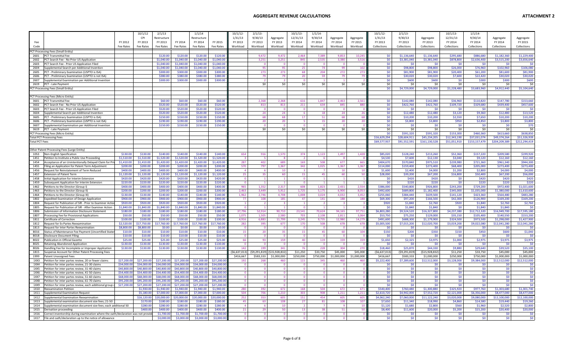## **AGGREGATE REVENUE CALCULATIONS ATTACHMENT**

| <b>ATTACHMENT 2</b> |  |
|---------------------|--|
|---------------------|--|

|                       |                                                                                                          |                        | 10/1/12                | 2/1/13                   |                          | 1/1/14                   |                          | 10/1/12         | 2/1/13         |                   | 10/1/13                           | 1/1/14          |                      |                 | 10/1/12                  | 2/1/13                   |                            | 10/1/13                  | 1/1/14                     |                            |                            |
|-----------------------|----------------------------------------------------------------------------------------------------------|------------------------|------------------------|--------------------------|--------------------------|--------------------------|--------------------------|-----------------|----------------|-------------------|-----------------------------------|-----------------|----------------------|-----------------|--------------------------|--------------------------|----------------------------|--------------------------|----------------------------|----------------------------|----------------------------|
|                       |                                                                                                          |                        | CPI                    | Restructure              |                          | Restructure              |                          | 1/31/13         | 9/30/13        | Aggregate         | 12/31/13                          | 9/30/14         | Aggregate            | Aggregate       | 1/31/13                  | 9/30/13                  | Aggregate                  | 12/31/13                 | 9/30/14                    | Aggregate                  | Aggregate                  |
|                       |                                                                                                          | FY 2012                | FY 2013                | FY 2013                  | FY 2014                  | FY 2014                  | FY 2015                  | FY 2013         | FY 2013        | FY 2013           | FY 2014                           | FY 2014         | FY 2014              | FY 2015         | FY 2013                  | FY 2013                  | FY 2013                    | FY 2014                  | FY 2014                    | FY 2014                    | FY 2015                    |
| Code                  |                                                                                                          | Fee Rates              | Fee Rates              | Fee Rates                | Fee Rates                | Fee Rates                | Fee Rates                | Workload        | Workload       | Workload          | Workload                          | Workload        | Workload             | Workload        | Collections              | Collections              | Collections                | Collections              | Collections                | Collections                | Collections                |
|                       | PCT Processing Fees (Small Entity)                                                                       |                        |                        |                          |                          |                          |                          |                 |                |                   |                                   |                 |                      |                 |                          |                          |                            |                          |                            |                            |                            |
| 2601                  | PCT Transmittal Fee                                                                                      |                        |                        | \$120.00                 | \$120.00                 | \$120.00                 | \$120.00                 |                 | 9,472          | 9,472             | 2,464                             | 7,389           | 9,853                | 10,24           | \$0                      | \$1,136,640              | \$1,136,640                | \$295,680                | \$886,68                   | \$1,182,360                | \$1,229,400                |
| 2602                  | PCT Search Fee - No Prior US Application                                                                 |                        |                        | \$1,040.00               | \$1,040.00               | \$1,040.00               | \$1,040.00               |                 | 3,251          | 3,251             | 845                               | 2,535           | 3,380                | 3,516           | \$0\$                    | \$3,381,040              | \$3,381,040                | \$878,800                | \$2,636,400                | \$3,515,200                | \$3,656,640                |
| 2603                  | PCT Search Fee - Prior US Application Filed                                                              |                        |                        | \$1,040.00               | \$1,040.00               | \$1,040.00               | \$1,040.00               |                 |                | - 0               | $\Omega$                          | - 0             | - 0                  |                 | \$0                      | - SO                     | -SO                        | - \$0                    | - SO                       | - \$0                      | - 91                       |
| 2604                  | Supplemental Search per Additional Invention                                                             |                        |                        | \$1,040.00               | \$1,040.00               | \$1,040.00               | \$1,040.00               |                 | - qr           | -95               | 25                                | 74              | 99                   | 102             | \$0                      | \$98,800                 | \$98,800                   | \$26,000                 | \$76,960                   | \$102,960                  | \$106,080                  |
| 2605                  | PCT - Preliminary Examination (USPTO is ISA)                                                             |                        |                        | \$300.00                 | \$300.00                 | \$300.00                 | \$300.00                 |                 | 273            | 273               | 68                                | 204             | 272                  | 27 <sup>5</sup> | \$0                      | \$81,900                 | \$81,900                   | \$20,400                 | \$61,200                   | \$81,600                   | \$81,900                   |
| 2606<br>2607          | PCT - Preliminary Examination (USPTO is not ISA)                                                         |                        |                        | \$380.00<br>\$300.00     | \$380.00<br>\$300.00     | \$380.00<br>\$300.00     | \$380.00<br>\$300.00     |                 | <b>79</b>      | 79                | 20<br>$\overline{0}$              | 59              | 79<br>$\overline{1}$ |                 | \$0<br>\$0\$             | \$30,020<br>\$600        | \$30,020<br>\$600          | \$7,600<br>\$0           | \$22,420<br>\$300          | \$30,020<br>\$300          | \$30,020<br>\$600          |
| 2619                  | Supplemental Examination per Additional Invention<br>PCT - Late Payment                                  |                        |                        |                          |                          |                          |                          |                 | \$0            | \$0               | \$0                               | \$0             | \$0                  | \$0             | \$0                      | \$0                      | \$0                        | \$0                      | \$0                        | - SC                       | SI                         |
|                       | PCT Processing Fees (Small Entity)                                                                       |                        |                        |                          |                          |                          |                          |                 |                |                   |                                   |                 |                      |                 | \$0                      | \$4,729,000              | \$4,729,000                | \$1,228,480              | \$3,683,960                | \$4,912,440                | \$5,104,640                |
|                       |                                                                                                          |                        |                        |                          |                          |                          |                          |                 |                |                   |                                   |                 |                      |                 |                          |                          |                            |                          |                            |                            |                            |
|                       | PCT Processing Fees (Micro Entity)                                                                       |                        |                        |                          |                          |                          |                          |                 |                |                   |                                   |                 |                      |                 |                          |                          |                            |                          |                            |                            |                            |
| 3601                  | <b>PCT Transmittal Fee</b>                                                                               |                        |                        | \$60.00                  | \$60,00                  | \$60.00                  | \$60.00                  |                 | 2.368          | 2.368             | 616                               | 1.847           | 2,463                | 2,561           | \$0                      | \$142,080                | \$142,080                  | \$36,960                 | \$110,820                  | \$147,780                  | \$153,660                  |
| 3602                  | PCT Search Fee - No Prior US Application                                                                 |                        |                        | \$520.00                 | \$520.00                 | \$520.00                 | \$520.00                 |                 | 813            | 813               | 211                               | 634             | 845                  | 880             | \$0\$                    | \$422,760                | \$422,760                  | \$109,720                | \$329,680                  | \$439,400                  | \$457,600                  |
| 3603                  | PCT Search Fee - Prior US Application Filed                                                              |                        |                        | \$520.00                 | \$520.00                 | \$520.00                 | \$520.00                 |                 |                |                   | $\overline{0}$                    |                 |                      |                 | \$0\$                    | \$0                      | \$0                        | <b>SO</b>                | <b>SO</b>                  | -SC                        | <b>SI</b>                  |
| 3604                  | Supplemental Search per Additional Invention                                                             |                        |                        | \$520.00                 | \$520.00                 | \$520.00                 | \$520.00                 |                 | 24             | 24                | -6                                | 18              | 24                   | 26              | \$0\$                    | \$12,480                 | \$12,480                   | \$3,120                  | \$9,360                    | \$12,480                   | \$13,520                   |
| 3605                  | PCT - Preliminary Examination (USPTO is ISA)                                                             |                        |                        | \$150.00                 | \$150.00                 | \$150.00                 | \$150.00                 |                 | -68            | 68                | 17                                | 51              | 68                   | 68              | \$0                      | \$10,200                 | \$10,200                   | \$2,550                  | \$7,650                    | \$10,200                   | \$10,200                   |
| 3606<br>3607          | PCT - Preliminary Examination (USPTO is not ISA)                                                         |                        |                        | \$190.00                 | \$190.00                 | \$190.00                 | \$190.00                 |                 | $\overline{2}$ | 20                | $\overline{0}$                    | 15              | 20                   |                 | \$0                      | \$3,800                  | \$3,800                    | \$950<br>\$0             | \$2,850<br>-SO             | \$3,800<br>-SC             | \$3,800<br>\$70            |
| 3619                  | Supplemental Examination per Additional Invention<br>PCT - Late Payment                                  |                        |                        | \$150.00                 | \$150.00                 | \$150.00                 | \$150.00                 |                 | \$0            | \$0               | \$0                               | \$0             | \$0                  | \$0             | \$0<br>\$0               | \$0<br>\$0               | \$0<br>\$0                 | \$0                      | \$0                        | \$0                        | $\mathsf{S}$               |
|                       | PCT Processing Fees (Micro Entity)                                                                       |                        |                        |                          |                          |                          |                          |                 |                |                   |                                   |                 |                      |                 | \$0                      | \$591,320                | \$591,320                  | \$153,300                | \$460,360                  | \$613,660                  | \$638,850                  |
|                       | <b>Total PCT Processing Fees</b>                                                                         |                        |                        |                          |                          |                          |                          |                 |                |                   |                                   |                 |                      |                 | \$16,629,294             | \$28,604,911             | \$45,234,205               | \$12,343,190             | \$37,031,074               | \$49,374,264               | \$51,326,93                |
| <b>Total PCT Fees</b> |                                                                                                          |                        |                        |                          |                          |                          |                          |                 |                |                   |                                   |                 |                      |                 | \$69,577.937             | \$91,552,591             | \$161,130,528              | \$51,051,910             | \$153,157,479              | \$204,209,389              | \$212.294.41               |
|                       |                                                                                                          |                        |                        |                          |                          |                          |                          |                 |                |                   |                                   |                 |                      |                 |                          |                          |                            |                          |                            |                            |                            |
|                       | ther Patent Processing Fees (Large Entity)                                                               |                        |                        |                          |                          |                          |                          |                 |                |                   |                                   |                 |                      |                 |                          |                          |                            |                          |                            |                            |                            |
| 1053                  | Non-English Specification                                                                                | \$130.00               | \$130.00               | \$140.00                 | \$140.00                 | \$140.00                 | \$140.00                 | 654             | 916            | 1,570             | 374                               | 1,123           | 1,497                | 1,428           | \$85,020                 | \$128,240                | \$213,260                  | \$52,360                 | \$157,220                  | \$209,580                  | \$199,920                  |
| 1451                  | Petition to Institute a Public Use Proceeding                                                            | \$1,510.00             | \$1,510.00             | \$1,520.00               | \$1,520.00               | \$1,520.00               | \$1,520.00               |                 |                |                   |                                   |                 |                      |                 | \$4,530                  | \$7,600                  | \$12,130                   | \$3,040                  | \$9,120                    | \$12,160                   | \$12,16                    |
| 1454                  | Acceptance of an Unintentionally Delayed Claim for Prio                                                  | \$1,410.00<br>\$200.00 | \$1,410.00<br>\$200.00 | \$1,420.00<br>\$200.00   | \$1,420.00<br>\$200.00   | \$1,420.00<br>\$200.00   | \$1,420.00<br>\$200.00   | 287             | 402            | 689               | 169                               | 508             | 677                  | 665             | \$404,670                | \$570,840                | \$975,510                  | \$239.980<br>\$68,400    | \$721,360                  | \$961.340                  | \$944,300<br>\$273,400     |
| 1455<br>1456          | Filing an Application for Patent Term Adjustment<br>Request for Reinstatement of Term Reduced            | \$400.00               | \$400.00               | \$400.00                 | \$400.00                 | \$400.00                 | \$400.00                 | 570             | 797            | 1,367<br>10       | 342<br>$\mathbf{R}$               | 1,025           | 1,367<br>10          | 1,367<br>10     | \$114,000<br>\$1,600     | \$159,400<br>\$2,400     | \$273,400<br>\$4,000       | \$1,200                  | \$205,000<br>\$2,800       | \$273,400<br>\$4,000       | \$4,000                    |
| 1457                  | <b>Extension of Patent Term</b>                                                                          | \$1,120.00             | \$1,120.00             | \$1,120.00               | \$1,120.00               | \$1,120.00               | \$1,120.00               | 25              | 35             | 60                | 15                                | 45              | 60                   | -50             | \$28,000                 | \$39,200                 | \$67,200                   | \$16,800                 | \$50,400                   | \$67,200                   | \$56,000                   |
| 1458                  | Initial Application for Interim Extension                                                                | \$420.00               | \$420.00               | \$420.00                 | \$420.00                 | \$420.00                 | \$420.0                  | $\Omega$        |                |                   | $\overline{\mathbf{0}}$           |                 | $\mathbf{1}$         |                 | \$0                      | \$420                    | \$420                      | -SO                      | \$420                      | \$420                      | \$420                      |
| 1459                  | Subsequent Application for Interim Extension                                                             | \$220.00               | \$220.00               | \$220.00                 | \$220.00                 | \$220.00                 | \$220.00                 |                 |                |                   | $\overline{0}$                    |                 |                      |                 | \$0                      | \$220                    | \$220                      | \$0                      | \$220                      | \$220                      | \$220                      |
| 1462                  | Petitions to the Director (Group I                                                                       | \$400.00               | \$400.00               | \$400.00                 | \$400.00                 | \$400.00                 | \$400.00                 | 965             | 1.352          | 2.317             | 608                               | 1.823           | 2.431                | 2.554           | \$386,000                | \$540,800                | \$926,800                  | \$243,200                | \$729,200                  | \$972,400                  | \$1,021,600                |
| 1463                  | Petitions to the Director (Group II)                                                                     | \$200.00               | \$200.00               | \$200.00                 | \$200.00                 | \$200.00                 | \$200.00                 | 2,463           | 3,449          | 5,912             | 1,725                             | 5,175           | 6,900                | 8,053           | \$492,600                | \$689,800                | \$1,182,400                | \$345,000                | \$1,035,000                | \$1,380,000                | \$1,610,600                |
| 1464                  | Petitions to the Director (Group III                                                                     | \$130.00               | \$130.00               | \$140.00                 | \$140.00                 | \$140.00                 | \$140.00                 | 1,962           | 2,746          | 4,708             | 1,008                             | 3,024           | 4,032                | 3,452           | \$255,060                | \$384,440                | \$639,500                  | \$141,120                | \$423,360                  | \$564,480                  | \$483,28                   |
| 1802                  | <b>Expedited Examination of Design Application</b>                                                       | \$900.00               | \$900.00               | \$900.00                 | \$900.00                 | \$900.00                 | \$900.00                 |                 | 108            | 185               | 47                                | 141             | 188                  | 188             | \$69,300                 | \$97,200                 | \$166,500                  | \$42,300                 | \$126,900                  | \$169,200                  | \$169,200                  |
| 1804                  | Request for Publication of SIR - Prior to Examiner Actio                                                 | \$920.00               | \$920.00               | \$920.00                 | \$920.00                 | \$920.00                 | \$920.00                 |                 |                |                   | $\mathbf{1}$                      | - 2             | $\mathbf{R}$         |                 | \$920                    | \$1,840                  | \$2,760                    | \$920                    | \$1,840                    | \$2,760                    | \$2,760                    |
| 1805<br>1806          | Request for Publication of SIR - After Examiner Action<br>Submission of Information Disclosure Statement | \$1,840.00<br>\$180.00 | \$1,840.00<br>\$180.00 | \$1,840.00<br>\$180.00   | \$1,840.00<br>\$180.00   | \$1,840.00<br>\$180.00   | \$1,840.00<br>\$180.00   | 37.796          | 52.914         | 90.710            | $\overline{\mathbf{0}}$<br>23,541 | 70.624          | 94,165               | 97.751          | \$0<br>\$6,803,280       | \$1,840<br>\$9,524,520   | \$1,840<br>\$16,327,800    | -\$0<br>\$4,237,380      | \$1,840<br>\$12,712,320    | \$1,840<br>\$16,949,700    | - \$1<br>\$17,595,180      |
| 1807                  | Processing Fee for Provisional Applications                                                              | \$50.00                | \$50.00                | \$50.00                  | \$50.00                  | \$50.00                  | \$50.00                  | 1.07            | 1.505          | 2.580             | 703                               | 2,108           | 2,811                | 3.064           | \$53,750                 | \$75,250                 | \$129,000                  | \$35,150                 | \$105,400                  | \$140,550                  | \$153,20                   |
| 1811                  | Certificate of Correction                                                                                | \$100.00               | \$100.00               | \$100.00                 | \$100.00                 | \$100.00                 | \$100.00                 | 4,916           | 6.883          | 11,799            | 3,245                             | 9,735           | 12,980               | 14,279          | \$491,600                | \$688,300                | \$1,179,900                | \$324,500                | \$973,500                  | \$1,298,000                | \$1,427,90                 |
| 1812                  | Request for Ex Partes Reexamination                                                                      | \$2,520.00             | \$17,750.00            | \$17,760.00              | 17,760.00                | \$17,760.00              | \$17,760.00              | 282             | 395            | 677               | 170                               | 508             | 678                  | 678             | \$5,005,500              | \$7,015,200              | \$12,020,700               | \$3,019,200              | \$9,022,080                | \$12,041,280               | \$12,041,280               |
| 1813                  | Request for Inter Partes Reexamination                                                                   | \$8,800.00             | \$8,800.00             | \$0.00                   | \$0.00                   | \$0.00                   | \$0.00                   |                 |                |                   | $\overline{0}$                    |                 | $\Omega$             |                 | \$0                      | \$0                      | \$0                        | \$0                      | -SO                        | -SC                        |                            |
| 8016                  | Status of Maintenance Fee Payment (Uncertified State                                                     | \$10.00                | \$10.00                | \$10.00                  | \$10.00                  | \$10.00                  | \$10.00                  | 15              |                | 35                | 15                                | 45              | 60                   | 104             | \$150                    | \$200                    | \$350                      | \$150                    | \$450                      | \$600                      | \$1,040                    |
| 8018                  | Disclosure Document Filing                                                                               | \$10.00                | \$10.00                | \$10.00                  | \$10.00                  | \$10.00                  | \$10.00                  |                 |                |                   | - 0                               |                 | $\Omega$             |                 | \$0                      | \$0                      | \$0                        | -so                      | - \$0                      | -SC                        |                            |
| 8022                  | Publication in Official Gazette                                                                          | \$25.00                | \$25.00                | \$25.00                  | \$25.00                  | \$25.00                  | \$25.00                  | 66              | 93             | 159               | 40                                | 119             | 159                  | 159             | \$1,650                  | \$2,325                  | \$3,975                    | \$1,000                  | \$2,975                    | \$3,975                    | \$3,975                    |
| 8025<br>8026          | Retaining Abandoned Application                                                                          | \$130.00<br>\$130.00   | \$130.00<br>\$130.00   | \$130.00<br>\$130.00     | \$130.00<br>\$130.00     | \$130.00<br>\$130.00     | \$130.00<br>\$130.00     | $\Omega$<br>142 | 199            | $\sqrt{2}$<br>341 | $\overline{0}$<br>76              | $\Omega$<br>228 | $\Omega$<br>304      | 270             | \$0<br>\$18,460          | \$0<br>\$25,870          | \$0<br>\$44,330            | \$0<br>\$9,880           | S <sub>0</sub><br>\$29,640 | - \$0<br>\$39,520          | $\mathsf{S}0$<br>\$35,100  |
| 1815                  | Handling Fee for Incomplete or Improper Application<br>Suspense Account for Other Patent Processing Fees |                        |                        |                          |                          |                          |                          | (56, 637, 013)  | (59, 291, 819) | \$15,928,832)     | \$11,250                          | \$33,750        | \$45,000             | \$45,000        | (56, 637, 013)           | (59, 291, 819)           | (515, 928, 832)            | \$11,250                 | \$33,750                   | \$45,000                   | \$45,000                   |
| 1999                  | Patent Unassigned Fees                                                                                   |                        |                        |                          |                          |                          |                          | \$416,667       | \$583,333      | \$1,000,000       | \$250,000                         | \$750,000       | \$1,000,000          | \$1,000,000     | \$416,667                | \$583,333                | \$1,000,000                | \$250,000                | \$750,000                  | \$1,000,000                | \$1,000,000                |
| 1XX3                  | Petition for inter partes review, 20 or fewer claims                                                     | \$27,200.00            | \$27,200.00            | \$27,200.00              | \$27,200.00              | \$27,200.00              | \$27,200.0               |                 | 26             | 460               | 115                               | 345             | 460                  | 46              | \$5,222,400              | \$7,289,600              | \$12,512,000               | \$3,128,000              | \$9,384,000                | \$12,512,000               | \$12,512,000               |
| 1XX4                  | Petition for inter partes review, 21-30 claims                                                           | \$34,000.00            | \$34,000.00            | \$34,000.00              | \$34,000.00              | \$34,000.00              | \$34,000.0               |                 |                |                   | $\Omega$                          |                 |                      |                 | \$0                      | \$0                      | \$0                        | -SO                      |                            |                            | -ŚI                        |
| 1XX5                  | Petition for inter partes review, 31-40 claims                                                           | \$40,800.00            | \$40,800.0             | \$40,800.00              | \$40,800.00              | \$40,800.00              | \$40,800.0               |                 |                |                   | $\Omega$                          |                 | $\Omega$             |                 | \$0                      | \$0                      | \$0                        | \$0                      | -SO                        | \$0                        | SO                         |
| <b>1XX6</b>           | Petition for inter partes review, 41-50 claims                                                           | \$54,400.0             | \$54,400.0             | \$54,400.00              | \$54,400.00              | \$54,400.00              | \$54,400.0               |                 |                |                   | $\overline{\mathbf{0}}$           | $\Omega$        | $\Omega$             |                 | \$0                      | \$0                      | \$0                        | \$0                      | S <sub>0</sub>             | \$0                        | \$0                        |
| 1XX7                  | Petition for inter partes review, 51-60 claims                                                           | \$68,000.00            | \$68,000.0             | \$68,000.00              | \$68,000.00              | \$68,000.0               | \$68,000.0               |                 |                |                   | $\overline{\mathbf{0}}$           | $\Omega$        | $\mathbf{0}$         |                 | \$0                      | \$0                      | \$0                        | SO.                      | \$0                        | \$0                        | \$0                        |
| 1XX8                  | Petition for inter partes review, 61-70 claims                                                           | \$95,200.00            | \$95,200.00            | \$95,200,00              | \$95,200.00              | \$95,200.00              | \$95,200.0               | $\Omega$        |                | $\Omega$          | $\overline{\mathbf{0}}$           | $\Omega$        | $\overline{0}$       |                 | \$0                      | \$0                      | \$0                        | SO.                      | \$0                        | \$0                        | $\overline{50}$            |
| 1XX9                  | Petition for inter partes review, each additional group o                                                | \$27,200.0             | \$27,200.0             | \$27,200.00              | \$27,200.00              | \$27,200.0               | \$27,200.0               | 280             |                |                   | $\overline{\mathbf{0}}$           | 504             | $\Omega$             |                 | \$0                      | \$0                      | \$0                        | -SO                      | - \$0                      | - \$0                      | -Sr                        |
| 1X10<br>1X11          | <b>Reexamination Petition</b><br>Supplemental Examination Request                                        |                        | \$1,930.0<br>\$5,180.0 | \$1,940.00<br>\$7,000.00 | \$1,940.00<br>\$7,000.00 | \$1,940.00<br>\$7,000.00 | \$1,940.00<br>\$7,000.00 | 504             | 392<br>706     | 672<br>1,210      | 168<br>303                        | 908             | 672<br>1,211         | 671<br>1,211    | \$540,400<br>\$2,610,720 | \$760,480<br>\$4,942,000 | \$1,300,880<br>\$7,552,720 | \$325,920<br>\$2,121,000 | \$977,760<br>\$6,356,000   | \$1,303,680<br>\$8,477,000 | \$1,301,740<br>\$8,477,000 |
| 1X12                  | Supplemental Examination Reexamination                                                                   |                        | \$16.120.0             | \$20,000.00              | 20,000.00                | \$20,000.00              | \$20,000.00              | 252             |                | 605               | 151                               | 454             |                      |                 | \$4,062,240              | \$7.060.000              | \$11,122,240               | \$3,020,000              | \$9,080,000                | \$12,100,000               | \$12,100,00                |
| 1X13                  | Supplemental examination document size fees: 21-50                                                       |                        | \$170.00               | \$180.00                 | \$180.00                 | \$180.00                 | \$180.00                 | 45              | -63            | 108               | 27                                | 81              | 108                  | 107             | \$7,650                  | \$11,340                 | \$18,990                   | \$4,860                  | \$14,580                   | \$19,440                   | \$19,26                    |
| 1X14                  | Supplemental examination document size fees; each additional 50                                          |                        | \$280.00               | \$280.00                 | \$280.00                 | \$280.00                 | \$280.00                 |                 |                | 10                | $\overline{2}$                    |                 | - 9                  | 10              | \$1,120                  | \$1,680                  | \$2,800                    | \$560                    | \$1,960                    | \$2,520                    | \$2,800                    |
| 1X15                  | Derivation proceeding                                                                                    |                        | \$400.0                | \$400.00                 | \$400.00                 | \$400.00                 | \$400.00                 | 21              | -29            | 50                | 13                                | 38              | 51                   | 50              | \$8,400                  | \$11,600                 | \$20,000                   | \$5,200                  | \$15,200                   | \$20,400                   | \$20,000                   |
| 1X16                  | Correct inventorship during examination where the oath/declaration was not provid                        |                        |                        | \$1,700.00               | \$1,700.00               | \$1,700.00               | \$1,700.0                | $\mathbf{0}$    |                | $\Omega$          | $\overline{\mathbf{0}}$           | $\overline{0}$  | $\mathbf{0}$         |                 | \$0                      | \$0                      | \$0                        | \$0                      | -SO                        | \$0                        | $\overline{\mathsf{S}}$    |
| 1X17                  | File and oath/declaration up to the notice of allowance                                                  |                        |                        | \$3,000.00               | \$3.000.00               | \$3,000.00               | \$3,000.                 | $\Omega$        |                |                   | $\Omega$                          |                 |                      |                 | \$0\$                    | \$0                      | \$0                        | \$0                      | \$0                        | \$0                        | SO                         |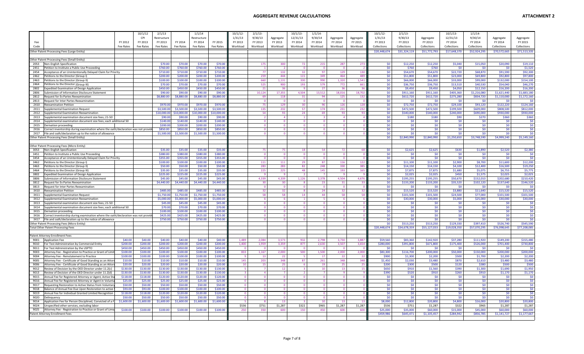|                                                                                                                              |                      | 10/1/12              | 2/1/13                 |                        | 1/1/14                 |                        | 10/1/12       | 2/1/13         |                          | 10/1/13              | 1/1/14               |                      |                 | 10/1/12-               | 2/1/13                 |                        | 10/1/13               | 1/1/14                 |                        |                         |
|------------------------------------------------------------------------------------------------------------------------------|----------------------|----------------------|------------------------|------------------------|------------------------|------------------------|---------------|----------------|--------------------------|----------------------|----------------------|----------------------|-----------------|------------------------|------------------------|------------------------|-----------------------|------------------------|------------------------|-------------------------|
|                                                                                                                              |                      | CPI                  | Restructure            |                        | Restructure            |                        | 1/31/13       | 9/30/13        | Aggregate                | 12/31/13             | 9/30/14              | Aggregate            | Aggregate       | 1/31/13                | 9/30/13                | Aggregate              | 12/31/13              | 9/30/14                | Aggregate              | Aggregate               |
| Fee                                                                                                                          | FY 2012              | FY 2013              | FY 2013                | FY 2014                | FY 2014                | FY 2015                | FY 2013       | FY 2013        | FY 2013                  | FY 2014              | FY 2014              | FY 2014              | FY 2015         | FY 2013                | FY 2013                | FY 2013                | FY 2014               | FY 2014                | FY 2014                | FY 2015                 |
| Code                                                                                                                         | Fee Rates            | Fee Rates            | Fee Rates              | Fee Rates              | Fee Rates              | Fee Rates              | Workload      | Workload       | Workload                 | Workload             | Workload             | Workload             | Workload        | Collections            | Collections            | <b>Collections</b>     | Collections           | Collections            | Collections            | Collections             |
| Other Patent Processing Fees (Large Entity)                                                                                  |                      |                      |                        |                        |                        |                        |               |                |                          |                      |                      |                      |                 | \$20,448,674           | \$31,324,119           | \$51,772,793           | \$17,648,370          | \$52,924,295           | \$70,572,665           | \$71,513,33             |
| Other Patent Processing Fees (Small Entity)                                                                                  |                      |                      |                        |                        |                        |                        |               |                |                          |                      |                      |                      |                 |                        |                        |                        |                       |                        |                        |                         |
| 2053<br>Non-English Specification                                                                                            |                      |                      | \$70.00                | \$70.00                | \$70.00                | \$70.00                |               | -175           | 300                      | 72                   | 215                  | 287                  | 27 <sup>2</sup> | \$0                    | \$12,250               | \$12,250               | \$5,040               | \$15,050               | \$20,090               | \$19,11                 |
| 2451<br>Petition to Institute a Public Use Proceeding                                                                        |                      |                      | \$760.00               | \$760.00               | \$760.00               | \$760.00               |               |                | $\overline{\phantom{a}}$ | $\Omega$             | $\Omega$             | - 0                  |                 | \$0                    | \$760                  | \$760                  | \$0                   | - SO                   | - \$0                  | \$1,520                 |
| 2454<br>Acceptance of an Unintentionally Delayed Claim for Priority                                                          |                      |                      | \$710.00               | \$710.00               | \$710.00               | \$710.00               |               | 77             | 132                      | 32                   | 97                   | 129                  | 130             | \$0                    | \$54,670               | \$54,670               | \$22,720              | \$68,870               | \$91,590               | \$92,300                |
| 2462<br>Petitions to the Director (Group I)                                                                                  |                      |                      | \$200.00               | \$200.00               | \$200.00               | \$200.00               |               | 259            | 444                      | 115                  | 349                  | 464                  | 489             | \$0                    | \$51,800               | \$51,800               | \$23,000              | \$69,800               | \$92,800               | \$97,800                |
| 2463<br>Petitions to the Director (Group II<br>2464                                                                          |                      |                      | \$100.00<br>\$70.00    | \$100.00               | \$100.00<br>\$70.00    | \$100.00               |               | 660<br>525     | 1,131<br>900             | 330<br>193           | 990<br>579           | 1,320<br>772         | 1,541<br>661    | \$0<br>\$0             | \$66,000               | \$66,000<br>\$36,750   | \$33,000              | \$99,000<br>\$40,530   | \$132,000<br>\$54,040  | \$154,10                |
| Petitions to the Director (Group III)<br>2802<br>Expedited Examination of Design Application                                 |                      |                      | \$450.00               | \$70.00<br>\$450.00    | \$450.00               | \$70.00<br>\$450.00    |               | 21             | 36                       |                      | 27                   | 36                   |                 | \$0\$                  | \$36,750<br>\$9,450    | \$9,450                | \$13,510<br>\$4,050   | \$12,150               | \$16,200               | \$46,27<br>\$16,200     |
| 2806<br>Submission of Information Disclosure Statement                                                                       |                      |                      | \$90.00                | \$90.00                | \$90.00                | \$90.00                |               | 10,124         | 17,355                   | 4,504                | 13,512               | 18,016               | 18,702          | \$0                    | \$911,160              | \$911,160              | \$405,360             | \$1,216,080            | \$1,621,440            | \$1,683,18              |
| 2812<br>Request for Ex Partes Reexamination                                                                                  |                      |                      | \$8,880.00             | \$8,880.00             | \$8,880.00             | \$8,880.00             |               | - 69           | 118                      | 31                   | 94                   | 125                  | 132             | \$0                    | \$612,720              | \$612,720              | \$275,280             | \$834,720              | \$1,110,000            | \$1,172,160             |
| 2813<br>Request for Inter Partes Reexamination                                                                               |                      |                      |                        |                        |                        |                        |               |                | - 0                      | - 0                  | - 0                  | - 0                  |                 | \$0                    | \$0                    | \$0                    | - SO                  | - SO                   | - sr                   | -SI                     |
| 2X10<br>Reexamination Petition                                                                                               |                      |                      | \$970.00               | \$970.00               | \$970.00               | \$970.00               |               | - 75           | 129                      | 30                   | 96                   | 126                  | 128             | \$0                    | \$72,750               | \$72,750               | \$29,100              | \$93,120               | \$122,220              | \$124,160               |
| 2X11<br><b>Supplemental Examination Request</b>                                                                              |                      |                      | \$3,500.00             | \$3,500.00             | \$3,500.00             | \$3,500.00             |               | 135            | 232                      | 57                   | 174                  | 231                  | 232             | \$0                    | \$472,500              | \$472,500              | \$199,500             | \$609,000              | \$808,500              | \$812,000               |
| 2X12<br>Supplemental Examination Reexamination<br>2X13<br>Supplemental examination document size fees: 21-50                 |                      |                      | \$10,000.00<br>\$90.00 | \$10,000.00<br>\$90.00 | \$10,000.00<br>\$90.00 | \$10,000.00<br>\$90.00 |               | 54             | 93<br>$\Delta$           | 24                   | 69                   | 93<br>$\Delta$       |                 | \$0<br>SO <sub>2</sub> | \$540,000<br>\$180     | \$540,000<br>\$180     | \$240,000<br>\$90     | \$690,000<br>\$270     | \$930,000<br>\$360     | \$930,000<br>\$360      |
| 2X14<br>Supplemental examination document size fees; each additional 50                                                      |                      |                      | \$140.00               | \$140.00               | \$140.00               | \$140.00               |               |                | $\Omega$                 |                      | $\Omega$             | $\Omega$             |                 | \$0\$                  | \$0                    | \$0                    | \$0                   | \$0                    | \$0                    | \$0                     |
| 2X15<br>Derivation proceeding                                                                                                |                      |                      | \$200.00               | \$200.00               | \$200.00               | \$200.00               |               | $\sqrt{2}$     | $\Omega$                 | $\Omega$             | $\Omega$             | $\Omega$             |                 | \$0                    | \$0                    | \$0                    | \$0                   | SO                     | \$0                    | \$0                     |
| 2X16<br>Correct inventorship during examination where the oath/declaration was not provid                                    |                      |                      | \$850.00               | \$850.00               | \$850.00               | \$850.00               |               |                |                          |                      | $\Omega$             |                      |                 | \$0                    | \$0                    | \$0                    | - \$0                 | - \$0                  | \$0                    | SO                      |
| 2X17<br>File and oath/declaration up to the notice of allowance                                                              |                      |                      | \$1,500.00             | \$1,500.00             | \$1,500.00             | \$1,500.00             |               |                |                          |                      |                      |                      |                 | \$0                    | \$0                    | \$0                    | - \$0                 | SO                     | -SC                    | <b>SC</b>               |
| Other Patent Processing Fees (Small Entity)                                                                                  |                      |                      |                        |                        |                        |                        |               |                |                          |                      |                      |                      |                 | \$0                    | \$2,840,990            | \$2,840,990            | \$1,250,650           | \$3,748,590            | \$4,999,240            | \$5,149,160             |
|                                                                                                                              |                      |                      |                        |                        |                        |                        |               |                |                          |                      |                      |                      |                 |                        |                        |                        |                       |                        |                        |                         |
| Other Patent Processing Fees (Micro Entity)<br>3053<br>Non-English Specification                                             |                      |                      | \$35.00                | \$35.00                | \$35.00                | \$35.00                |               |                | 75                       | 18                   | 54                   | 72                   |                 | <b>SO</b>              | \$2,625                | \$2,625                | \$630                 | \$1,890                | \$2.520                | \$2,380                 |
| 3451<br>Petition to Institute a Public Use Proceeding                                                                        |                      |                      | \$380.00               | \$380.00               | \$380.00               | \$380.00               |               |                | $\Omega$                 |                      | $\Omega$             | $\Omega$             |                 | \$0                    | \$0                    | \$0                    | - \$0                 | -SO                    | -SC                    | <b>SI</b>               |
| 3454<br>Acceptance of an Unintentionally Delayed Claim for Priority                                                          |                      |                      | \$355.00               | \$355.00               | \$355.00               | \$355.00               |               |                |                          |                      |                      |                      |                 | \$0                    | \$0                    | \$0                    | \$0                   | <b>SO</b>              | -SC                    | $\mathsf{S}$            |
| 3462<br>Petitions to the Director (Group I)                                                                                  |                      |                      | \$100.00               | \$100.00               | \$100.00               | \$100.00               |               | 111            | 111                      | 29                   | 87                   | 116                  | 122             | \$0                    | \$11,100               | \$11,100               | \$2,900               | \$8,700                | \$11,600               | \$12,200                |
| 3463<br>Petitions to the Director (Group II                                                                                  |                      |                      | \$50.00                | \$50.00                | \$50.00                | \$50.00                |               | 283            | 283                      | 82                   | 248                  | 330                  | 385             | \$0                    | \$14,150               | \$14,150               | \$4,100               | \$12,400               | \$16,500               | \$19,250                |
| 3464<br>Petitions to the Director (Group III)                                                                                |                      |                      | \$35.00                | \$35.00                | \$35.00                | \$35.00                |               | 225            | 225                      | 48                   | 145                  | 193                  | 165             | \$0                    | \$7,875                | \$7,875                | \$1,680               | \$5,075                | \$6,755                | \$5,775                 |
| 3802<br><b>Expedited Examination of Design Application</b>                                                                   |                      |                      | \$225.00               | \$225.00               | \$225.00               | \$225.00               |               |                |                          |                      |                      |                      |                 | \$0                    | \$2,025                | \$2,025                | \$450                 | \$1,575                | \$2,025                | \$2,025                 |
| 3806<br>Submission of Information Disclosure Statement<br>3812<br>Request for Ex Partes Reexamination                        |                      |                      | \$45.00<br>\$4,440.00  | \$45.00<br>\$4,440.00  | \$45.00<br>\$4,440.00  | \$45.00<br>\$4,440.00  |               | 4,339<br>30    | 4,339<br>30              | 1,126                | 3,378<br>23          | 4,504<br>-31         | 4,676           | \$0<br>\$0             | \$195,255<br>\$133,200 | \$195,255<br>\$133,200 | \$50,670<br>\$35,520  | \$152,010<br>\$102,120 | \$202,680<br>\$137,640 | \$210,420<br>\$146,520  |
| 3813<br>Request for Inter Partes Reexamination                                                                               |                      |                      |                        |                        |                        |                        |               |                | $\Omega$                 |                      | $\Omega$             |                      |                 | \$0                    | \$0                    | \$0                    | - ŚC                  | -SO                    | -SC                    | -ŚI                     |
| 3X10<br><b>Reexamination Petition</b>                                                                                        |                      |                      | \$485.00               | \$485.00               | \$485.00               | \$485.00               |               | 32             | 32                       |                      | 24                   | 32                   | 32              | \$0\$                  | \$15,520               | \$15,520               | \$3,880               | \$11,640               | \$15,520               | \$15,520                |
| 3X11<br>Supplemental Examination Request                                                                                     |                      |                      | \$1,750.00             | \$1,750.00             | \$1,750.00             | \$1,750.00             |               | 58             | 58                       | 14                   | 44                   | 58                   |                 | \$0\$                  | \$101,500              | \$101,500              | \$24,500              | \$77,000               | \$101,500              | \$101,500               |
| 3X12<br>Supplemental Examination Reexamination                                                                               |                      |                      | \$5,000.00             | \$5.000.00             | \$5,000.00             | \$5,000.00             |               |                |                          |                      |                      |                      |                 | \$0                    | \$30,000               | \$30,000               | \$5,000               | \$25,000               | \$30,000               | \$30,000                |
| 3X13<br>Supplemental examination document size fees: 21-50                                                                   |                      |                      | \$45.00                | \$45.00                | \$45.00                | \$45.00                |               |                | $\Omega$                 |                      | $\Omega$             | $\Omega$             |                 | \$0                    | \$0                    | \$0                    | \$0                   | -SO                    | - \$0                  | SC                      |
| 3X14<br>Supplemental examination document size fees; each additional 50                                                      |                      |                      | \$70.00                | \$70.00                | \$70.00                | \$70.00                |               |                | $\Omega$                 |                      | $\Omega$             | $\Omega$             |                 | \$0                    | \$0                    | \$0                    | \$0                   | \$0                    | \$0                    | \$0                     |
| 3X15<br>Derivation proceeding<br>Correct inventorship during examination where the oath/declaration was not provid<br>3X16   |                      |                      | \$100.00<br>\$425.00   | \$100.00<br>\$425.00   | \$100.00<br>\$425.00   | \$100.00<br>\$425.00   |               |                | $\Omega$<br>$\Omega$     | $\Omega$<br>$\Omega$ | $\Omega$<br>$\Omega$ | $\Omega$<br>$\Omega$ |                 | \$0<br>\$0             | \$0<br>\$0             | \$0<br>\$0             | \$0<br>\$0            | \$0<br>\$0             | - \$0<br>\$0           | \$0<br>\$0              |
| 3X17<br>File and oath/declaration up to the notice of allowance                                                              |                      |                      | \$750.00               | \$750.00               | \$750.00               | \$750.00               |               |                |                          |                      |                      |                      |                 | <b>SO</b>              | <b>SO</b>              | \$0                    | - \$0                 | - \$0                  | <b>SO</b>              | <b>SC</b>               |
| Other Patent Processing Fees (Micro Entity)                                                                                  |                      |                      |                        |                        |                        |                        |               |                |                          |                      |                      |                      |                 | \$0                    | \$513,250              | \$513,250              | \$129,330             | \$397,410              | \$526,740              | \$545,590               |
| <b>Total Other Patent Processing Fees</b>                                                                                    |                      |                      |                        |                        |                        |                        |               |                |                          |                      |                      |                      |                 | \$20,448,674           | \$34,678,359           | \$55,127,033           | \$19,028,350          | \$57,070,295           | \$76,098,645           | \$77,208,085            |
|                                                                                                                              |                      |                      |                        |                        |                        |                        |               |                |                          |                      |                      |                      |                 |                        |                        |                        |                       |                        |                        |                         |
| Patent Attorney Enrollment Fees                                                                                              |                      |                      |                        |                        |                        |                        |               |                |                          |                      |                      |                      |                 |                        |                        |                        |                       |                        |                        |                         |
| 9001<br>Application Fee<br>9010<br>For Test Administration by Commercial Entity                                              | \$40.00<br>\$200.00  | \$40.00<br>\$200.00  | \$40.00<br>\$200.00    | \$40.00<br>\$200.00    | \$40.00<br>\$200.00    | \$40.00<br>\$200.00    | 1.48<br>1,400 | 2.084<br>1,959 | 3,573<br>3,359           | 932<br>877           | 2,798<br>2,630       | 3.730<br>3,507       | 3.887<br>3,654  | \$59,560<br>\$280,000  | \$83,360<br>\$391,800  | \$142,920<br>\$671,800 | \$37,280<br>\$175,400 | \$111,920<br>\$526,000 | \$149,200<br>\$701,400 | \$155,480<br>\$730,800  |
| 9011<br>For Test Administration by the USPTO                                                                                 | \$450.00             | \$450.00             | \$450.00               | \$450.00               | \$450.00               | \$450.00               |               |                | $\Omega$                 | $\Omega$             | - 0                  | - 0                  |                 | <b>SO</b>              | \$0                    | \$0                    | \$0                   | SO                     | \$0                    | $\overline{\mathsf{S}}$ |
| 9003<br>Attorney Fee - Registration to Practice or Grant of Limit                                                            | \$100.00             | \$100.00             | \$100.00               | \$100.00               | \$100.00               | \$100.00               | 833           | 1,167          | 2,000                    | 500                  | 1,500                | 2,000                | 2,000           | \$83,300               | \$116,700              | \$200,000              | \$50,000              | \$150,000              | \$200,000              | \$200,000               |
| 9004<br>Attorney Fee - Reinstatement to Practice                                                                             | \$100.00             | \$100.00             | \$100.00               | \$100.00               | \$100.00               | \$100.00               |               | $-13$          | 22                       |                      | 17                   | 22                   | 22              | \$900                  | \$1,300                | \$2,200                | \$500                 | \$1,700                | \$2,200                | \$2,200                 |
| 9005<br>Attorney Fee - Certificate of Good Standing as an Attor                                                              | \$10.00              | \$10.00              | \$10.00                | \$10.00                | \$10.00                | \$10.00                | 145           | 203            | 348                      | 87                   | 261                  | 348                  | 348             | \$1,450                | \$2,030                | \$3,480                | \$870                 | \$2,610                | \$3,480                | \$3,480                 |
| 9006<br>Attorney Fee - Certificate of Good Standing as an Attori                                                             | \$20.00              | \$20.00              | \$20.00                | \$20.00                | \$20.00                | \$20.00                | 10            | 15             | 25                       |                      | 19                   | 25                   | 25              | \$200                  | \$300                  | \$500                  | \$120                 | \$380                  | \$500                  | \$500                   |
| 9012<br>Review of Decision by the OED Director under 11.2(c)<br>9013<br>Review of Decision of the OED Director under 11.2(d) | \$130.00<br>\$130.00 | \$130.00<br>\$130.00 | \$130.00<br>\$130.00   | \$130.00<br>\$130.00   | \$130.00<br>\$130.00   | \$130.00<br>\$130.00   |               |                | 12                       |                      | 10                   | 13                   |                 | \$650<br>\$390         | \$910<br>\$520         | \$1,560<br>\$910       | \$390<br>\$260        | \$1,300<br>\$910       | \$1,690<br>\$1,170     | \$1,950<br>\$1,170      |
| 9015<br>Annual Fee for Registered Attorney or Agent, Active Sta                                                              | \$118.00             | \$118.00             | \$120.00               | \$120.00               | \$120.00               | \$120.00               |               |                | $\Omega$                 |                      | $\Omega$             | $\Omega$             |                 | \$0                    | \$0                    | \$0                    | \$0                   | SO                     | \$0                    | \$0                     |
| 9016<br>Annual Fee for Registered Attorney or Agent in Volunta                                                               | \$25.00              | \$25.00              | \$25.00                | \$25.00                | \$25.00                | \$25.00                |               |                | $\Omega$                 | - 0                  | $\Omega$             | $\Omega$             |                 | \$0                    | \$0                    | \$0                    | \$0                   | \$0                    | \$0                    | \$0                     |
| 9017<br>Requesting Restoration to Active Status from Voluntar                                                                | \$50.00              | \$50.00              | \$50.00                | \$50.00                | \$50.00                | \$50.00                | n             |                | $\mathbf{0}$             | $\Omega$             | $\overline{0}$       | $\mathbf{0}$         |                 | \$0                    | \$0                    | \$0                    | \$0                   | \$0                    | \$0                    | $\overline{50}$         |
| 9018<br>Balance of Annual Fee Due Upon Restoration to active                                                                 | \$93.00              | \$93.00              | \$100.00               | \$100.00               | \$100.00               | \$100.00               |               |                | $\Omega$                 | $\sqrt{2}$           | $\Omega$             | $\Omega$             |                 | \$0                    | \$0                    | \$0                    | \$0                   | \$0                    | \$0                    | $\overline{50}$         |
| 9019<br>Annual Fee for Individual Granted Limited Recognition                                                                | \$118.00             | \$118.00             | \$120.00               | \$120.00               | \$120.00               | \$120.00               |               |                |                          |                      |                      |                      |                 | \$0                    | \$0                    | \$0                    | \$0                   | \$0                    | \$0                    | \$0                     |
| 9020<br>Delinquency                                                                                                          | \$50.00              | \$50.00              | \$50.00                | \$50.00                | \$50.00                | \$50.00                |               |                | $\sqrt{2}$               |                      | $\sqrt{2}$           |                      |                 | \$0                    | \$0                    | \$0                    | \$0                   | - SO                   | \$0                    | $\overline{\mathsf{S}}$ |
| 9014<br>Application Fee for Person Disciplined, Convicted of a F<br>9024                                                     | \$1,600.00           | \$1,600.00           | \$1,600.00             | \$1,600.00             | \$1,600.00             | \$1,600.00             | \$536         | \$751          | 13<br>\$1,287            | \$322                | 10<br>\$965          | \$1,287              | \$1,287         | \$8,000<br>\$536       | \$12,800<br>\$751      | \$20,800<br>\$1,287    | \$4,800<br>\$322      | \$16,000<br>\$965      | \$20,800<br>\$1,287    | \$20,800<br>\$1,287     |
| Unspecified other services, excluding labor<br>9025<br>Attorney Fee - Registration to Practice or Grant of Limit             | \$100.00             | \$100.00             | \$100.00               | \$100.00               | \$100.00               | \$100.00               | 250           | 350            | 600                      | 150                  | 450                  | 600                  | 600             | \$25,000               | \$35,000               | \$60,000               | \$15,000              | \$45,000               | \$60,000               | \$60,000                |
| Patent Attorney Enrollment Fees                                                                                              |                      |                      |                        |                        |                        |                        |               |                |                          |                      |                      |                      |                 | \$459,986              | \$645,471              | \$1,105,457            | \$284,942             | \$856,785              | \$1,141,727            | \$1,177,667             |
|                                                                                                                              |                      |                      |                        |                        |                        |                        |               |                |                          |                      |                      |                      |                 |                        |                        |                        |                       |                        |                        |                         |